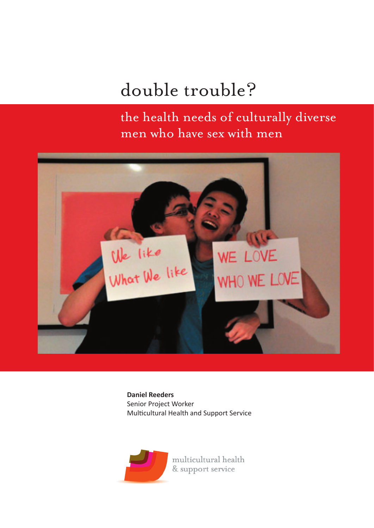# double trouble?

the health needs of culturally diverse men who have sex with men



**Daniel Reeders** Senior Project Worker Multicultural Health and Support Service



multicultural health & support service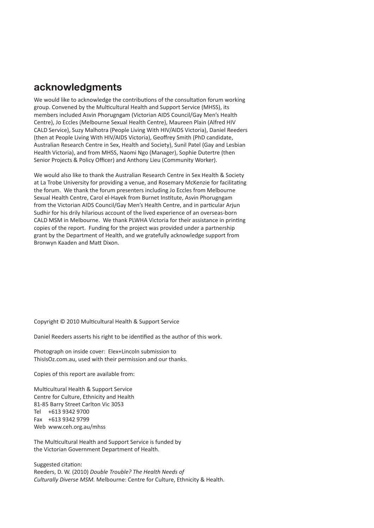## **acknowledgments**

We would like to acknowledge the contributions of the consultation forum working group. Convened by the Multicultural Health and Support Service (MHSS), its members included Asvin Phorugngam (Victorian AIDS Council/Gay Men's Health Centre), Jo Eccles (Melbourne Sexual Health Centre), Maureen Plain (Alfred HIV CALD Service), Suzy Malhotra (People Living With HIV/AIDS Victoria), Daniel Reeders (then at People Living With HIV/AIDS Victoria), Geoffrey Smith (PhD candidate, Australian Research Centre in Sex, Health and Society), Sunil Patel (Gay and Lesbian Health Victoria), and from MHSS, Naomi Ngo (Manager), Sophie Dutertre (then Senior Projects & Policy Officer) and Anthony Lieu (Community Worker).

We would also like to thank the Australian Research Centre in Sex Health & Society at La Trobe University for providing a venue, and Rosemary McKenzie for facilitating the forum. We thank the forum presenters including Jo Eccles from Melbourne Sexual Health Centre, Carol el-Hayek from Burnet Institute, Asvin Phorugngam from the Victorian AIDS Council/Gay Men's Health Centre, and in particular Arjun Sudhir for his drily hilarious account of the lived experience of an overseas-born CALD MSM in Melbourne. We thank PLWHA Victoria for their assistance in printing copies of the report. Funding for the project was provided under a partnership grant by the Department of Health, and we gratefully acknowledge support from Bronwyn Kaaden and Matt Dixon.

#### Copyright © 2010 Multicultural Health & Support Service

Daniel Reeders asserts his right to be identified as the author of this work.

Photograph on inside cover: Elex+Lincoln submission to ThisIsOz.com.au, used with their permission and our thanks.

Copies of this report are available from:

Multicultural Health & Support Service Centre for Culture, Ethnicity and Health 81-85 Barry Street Carlton Vic 3053 Tel +613 9342 9700 Fax +613 9342 9799 Web www.ceh.org.au/mhss

The Multicultural Health and Support Service is funded by the Victorian Government Department of Health.

Suggested citation: Reeders, D. W. (2010) *Double Trouble? The Health Needs of Culturally Diverse MSM.* Melbourne: Centre for Culture, Ethnicity & Health.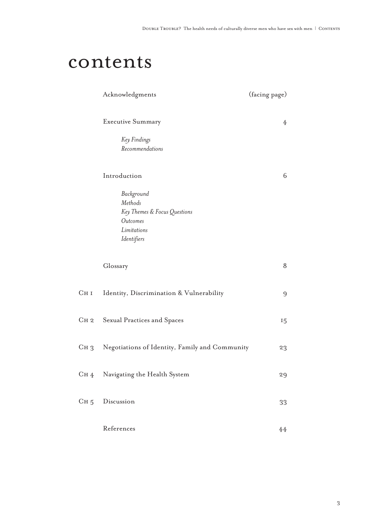# contents

|                 | Acknowledgments                                                                                 | (facing page) |
|-----------------|-------------------------------------------------------------------------------------------------|---------------|
|                 | <b>Executive Summary</b>                                                                        | 4             |
|                 | Key Findings<br>Recommendations                                                                 |               |
|                 | Introduction                                                                                    | 6             |
|                 | Background<br>Methods<br>Key Themes & Focus Questions<br>Outcomes<br>Limitations<br>Identifiers |               |
|                 | Glossary                                                                                        | 8             |
| CHI             | Identity, Discrimination & Vulnerability                                                        | 9             |
| CH <sub>2</sub> | <b>Sexual Practices and Spaces</b>                                                              | 15            |
| CH <sub>3</sub> | Negotiations of Identity, Family and Community                                                  | 23            |
| CH <sub>4</sub> | Navigating the Health System                                                                    | 29            |
| CH <sub>5</sub> | Discussion                                                                                      | 33            |
|                 | References                                                                                      | 44            |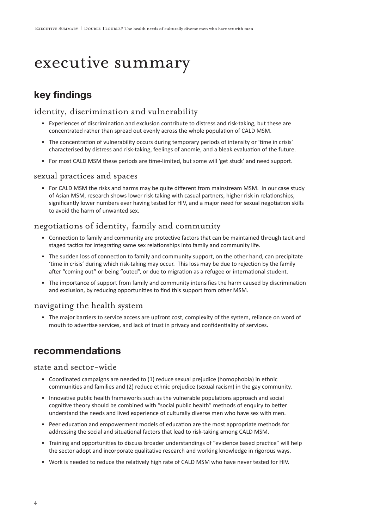# executive summary

# **key findings**

## identity, discrimination and vulnerability

- Experiences of discrimination and exclusion contribute to distress and risk-taking, but these are concentrated rather than spread out evenly across the whole population of CALD MSM.
- The concentration of vulnerability occurs during temporary periods of intensity or 'time in crisis' characterised by distress and risk-taking, feelings of anomie, and a bleak evaluation of the future.
- For most CALD MSM these periods are time-limited, but some will 'get stuck' and need support.

### sexual practices and spaces

• For CALD MSM the risks and harms may be quite different from mainstream MSM. In our case study of Asian MSM, research shows lower risk-taking with casual partners, higher risk in relationships, significantly lower numbers ever having tested for HIV, and a major need for sexual negotiation skills to avoid the harm of unwanted sex.

## negotiations of identity, family and community

- Connection to family and community are protective factors that can be maintained through tacit and staged tactics for integrating same sex relationships into family and community life.
- The sudden loss of connection to family and community support, on the other hand, can precipitate 'time in crisis' during which risk-taking may occur. This loss may be due to rejection by the family after "coming out" or being "outed", or due to migration as a refugee or international student.
- The importance of support from family and community intensifies the harm caused by discrimination and exclusion, by reducing opportunities to find this support from other MSM.

## navigating the health system

• The major barriers to service access are upfront cost, complexity of the system, reliance on word of mouth to advertise services, and lack of trust in privacy and confidentiality of services.

# **recommendations**

#### state and sector-wide

- Coordinated campaigns are needed to (1) reduce sexual prejudice (homophobia) in ethnic communities and families and (2) reduce ethnic prejudice (sexual racism) in the gay community.
- Innovative public health frameworks such as the vulnerable populations approach and social cognitive theory should be combined with "social public health" methods of enquiry to better understand the needs and lived experience of culturally diverse men who have sex with men.
- Peer education and empowerment models of education are the most appropriate methods for addressing the social and situational factors that lead to risk-taking among CALD MSM.
- Training and opportunities to discuss broader understandings of "evidence based practice" will help the sector adopt and incorporate qualitative research and working knowledge in rigorous ways.
- Work is needed to reduce the relatively high rate of CALD MSM who have never tested for HIV.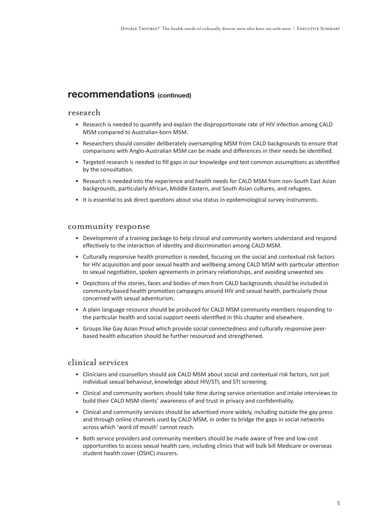## **recommendations (continued)**

#### research

- Research is needed to quantify and explain the disproportionate rate of HIV infection among CALD MSM compared to Australian-born MSM.
- Researchers should consider deliberately oversampling MSM from CALD backgrounds to ensure that comparisons with Anglo-Australian MSM can be made and differences in their needs be identified.
- Targeted research is needed to fill gaps in our knowledge and test common assumptions as identified by the consultation.
- Research is needed into the experience and health needs for CALD MSM from non-South East Asian backgrounds, particularly African, Middle Eastern, and South Asian cultures, and refugees.
- It is essential to ask direct questions about visa status in epidemiological survey instruments.

#### community response

- Development of a training package to help clinical and community workers understand and respond effectively to the interaction of identity and discrimination among CALD MSM.
- Culturally responsive health promotion is needed, focusing on the social and contextual risk factors for HIV acquisition and poor sexual health and wellbeing among CALD MSM with particular attention to sexual negotiation, spoken agreements in primary relationships, and avoiding unwanted sex.
- Depictions of the stories, faces and bodies of men from CALD backgrounds should be included in community-based health promotion campaigns around HIV and sexual health, particularly those concerned with sexual adventurism.
- A plain language resource should be produced for CALD MSM community members responding to the particular health and social support needs identified in this chapter and elsewhere.
- Groups like Gay Asian Proud which provide social connectedness and culturally responsive peerbased health education should be further resourced and strengthened.

### clinical services

- Clinicians and counsellors should ask CALD MSM about social and contextual risk factors, not just individual sexual behaviour, knowledge about HIV/STI, and STI screening.
- Clinical and community workers should take time during service orientation and intake interviews to build their CALD MSM clients' awareness of and trust in privacy and confidentiality.
- Clinical and community services should be advertised more widely, including outside the gay press and through online channels used by CALD MSM, in order to bridge the gaps in social networks across which 'word of mouth' cannot reach.
- Both service providers and community members should be made aware of free and low-cost opportunities to access sexual health care, including clinics that will bulk bill Medicare or overseas student health cover (OSHC) insurers.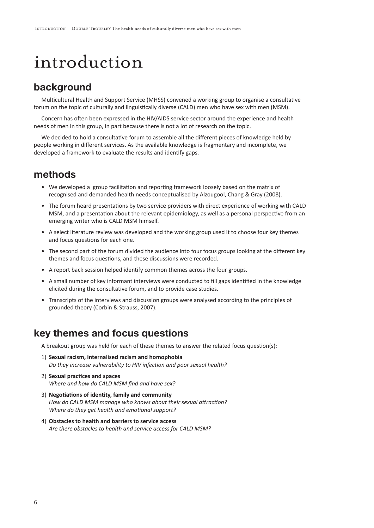# introduction

# **background**

Multicultural Health and Support Service (MHSS) convened a working group to organise a consultative forum on the topic of culturally and linguistically diverse (CALD) men who have sex with men (MSM).

Concern has often been expressed in the HIV/AIDS service sector around the experience and health needs of men in this group, in part because there is not a lot of research on the topic.

We decided to hold a consultative forum to assemble all the different pieces of knowledge held by people working in different services. As the available knowledge is fragmentary and incomplete, we developed a framework to evaluate the results and identify gaps.

# **methods**

- We developed a group facilitation and reporting framework loosely based on the matrix of recognised and demanded health needs conceptualised by Alzougool, Chang & Gray (2008).
- The forum heard presentations by two service providers with direct experience of working with CALD MSM, and a presentation about the relevant epidemiology, as well as a personal perspective from an emerging writer who is CALD MSM himself.
- A select literature review was developed and the working group used it to choose four key themes and focus questions for each one.
- The second part of the forum divided the audience into four focus groups looking at the different key themes and focus questions, and these discussions were recorded.
- A report back session helped identify common themes across the four groups.
- A small number of key informant interviews were conducted to fill gaps identified in the knowledge elicited during the consultative forum, and to provide case studies.
- Transcripts of the interviews and discussion groups were analysed according to the principles of grounded theory (Corbin & Strauss, 2007).

# **key themes and focus questions**

A breakout group was held for each of these themes to answer the related focus question(s):

- 1) **Sexual racism, internalised racism and homophobia** Do they increase vulnerability to HIV infection and poor sexual health?
- 2) **Sexual practices and spaces** *Where and how do CALD MSM find and have sex?*
- 3) Negotiations of identity, family and community How do CALD MSM manage who knows about their sexual attraction? *Where do they get health and emotional support?*
- 4) **Obstacles to health and barriers to service access** *Are there obstacles to health and service access for CALD MSM?*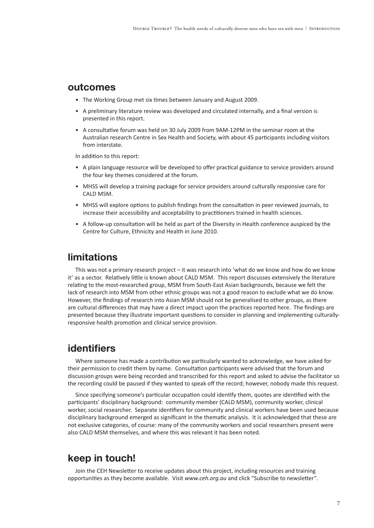## **outcomes**

- The Working Group met six times between January and August 2009.
- A preliminary literature review was developed and circulated internally, and a final version is presented in this report.
- A consultative forum was held on 30 July 2009 from 9AM-12PM in the seminar room at the Australian research Centre in Sex Health and Society, with about 45 participants including visitors from interstate.

In addition to this report:

- A plain language resource will be developed to offer practical guidance to service providers around the four key themes considered at the forum.
- MHSS will develop a training package for service providers around culturally responsive care for CALD MSM.
- MHSS will explore options to publish findings from the consultation in peer reviewed journals, to increase their accessibility and acceptability to practitioners trained in health sciences.
- A follow-up consultation will be held as part of the Diversity in Health conference auspiced by the Centre for Culture, Ethnicity and Health in June 2010.

## **limitations**

This was not a primary research project – it was research into 'what do we know and how do we know it' as a sector. Relatively little is known about CALD MSM. This report discusses extensively the literature relating to the most-researched group, MSM from South-East Asian backgrounds, because we felt the lack of research into MSM from other ethnic groups was not a good reason to exclude what we do know. However, the findings of research into Asian MSM should not be generalised to other groups, as there are cultural differences that may have a direct impact upon the practices reported here. The findings are presented because they illustrate important questions to consider in planning and implementing culturallyresponsive health promotion and clinical service provision.

## **identifiers**

Where someone has made a contribution we particularly wanted to acknowledge, we have asked for their permission to credit them by name. Consultation participants were advised that the forum and discussion groups were being recorded and transcribed for this report and asked to advise the facilitator so the recording could be paused if they wanted to speak off the record; however, nobody made this request.

Since specifying someone's particular occupation could identify them, quotes are identified with the participants' disciplinary background: community member (CALD MSM), community worker, clinical worker, social researcher. Separate identifiers for community and clinical workers have been used because disciplinary background emerged as significant in the thematic analysis. It is acknowledged that these are not exclusive categories, of course: many of the community workers and social researchers present were also CALD MSM themselves, and where this was relevant it has been noted.

# **keep in touch!**

Join the CEH Newsletter to receive updates about this project, including resources and training opportunities as they become available. Visit *www.ceh.org.au* and click "Subscribe to newsletter".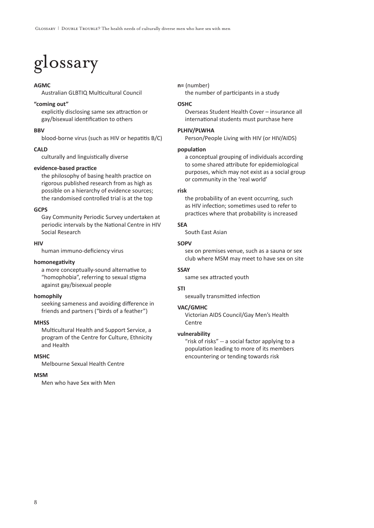# glossary

#### **AGMC**

Australian GLBTIQ Multicultural Council

#### **"coming out"**

explicitly disclosing same sex attraction or gay/bisexual identification to others

#### **BBV**

blood-borne virus (such as HIV or hepatitis B/C)

#### **CALD**

culturally and linguistically diverse

#### evidence-based practice

the philosophy of basing health practice on rigorous published research from as high as possible on a hierarchy of evidence sources; the randomised controlled trial is at the top

#### **GCPS**

Gay Community Periodic Survey undertaken at periodic intervals by the National Centre in HIV Social Research

#### **HIV**

human immuno-deficiency virus

#### **homonegativity**

a more conceptually-sound alternative to "homophobia", referring to sexual stigma against gay/bisexual people

#### **homophily**

seeking sameness and avoiding difference in friends and partners ("birds of a feather")

#### **MHSS**

Multicultural Health and Support Service, a program of the Centre for Culture, Ethnicity and Health

#### **MSHC**

Melbourne Sexual Health Centre

#### **MSM**

Men who have Sex with Men

#### **n=** (number)

the number of participants in a study

#### **OSHC**

Overseas Student Health Cover – insurance all international students must purchase here

#### **PLHIV/PLWHA**

Person/People Living with HIV (or HIV/AIDS)

#### population

a conceptual grouping of individuals according to some shared attribute for epidemiological purposes, which may not exist as a social group or community in the 'real world'

#### **risk**

the probability of an event occurring, such as HIV infection; sometimes used to refer to practices where that probability is increased

#### **SEA**

South East Asian

#### **SOPV**

sex on premises venue, such as a sauna or sex club where MSM may meet to have sex on site

#### **SSAY**

same sex attracted youth

#### **STI**

sexually transmitted infection

#### **VAC/GMHC**

Victorian AIDS Council/Gay Men's Health Centre

#### **vulnerability**

"risk of risks" -- a social factor applying to a population leading to more of its members encountering or tending towards risk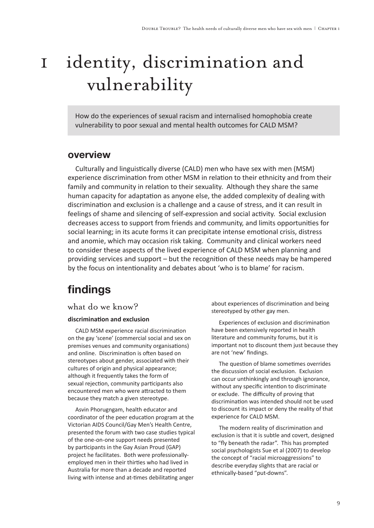# 1 identity, discrimination and vulnerability

How do the experiences of sexual racism and internalised homophobia create vulnerability to poor sexual and mental health outcomes for CALD MSM?

## **overview**

Culturally and linguistically diverse (CALD) men who have sex with men (MSM) experience discrimination from other MSM in relation to their ethnicity and from their family and community in relation to their sexuality. Although they share the same human capacity for adaptation as anyone else, the added complexity of dealing with discrimination and exclusion is a challenge and a cause of stress, and it can result in feelings of shame and silencing of self-expression and social activity. Social exclusion decreases access to support from friends and community, and limits opportunities for social learning; in its acute forms it can precipitate intense emotional crisis, distress and anomie, which may occasion risk taking. Community and clinical workers need to consider these aspects of the lived experience of CALD MSM when planning and providing services and support  $-$  but the recognition of these needs may be hampered by the focus on intentionality and debates about 'who is to blame' for racism.

# **fi ndings**

### what do we know?

#### discrimination and exclusion

CALD MSM experience racial discrimination on the gay 'scene' (commercial social and sex on premises venues and community organisations) and online. Discrimination is often based on stereotypes about gender, associated with their cultures of origin and physical appearance; although it frequently takes the form of sexual rejection, community participants also encountered men who were attracted to them because they match a given stereotype.

Asvin Phorugngam, health educator and coordinator of the peer education program at the Victorian AIDS Council/Gay Men's Health Centre, presented the forum with two case studies typical of the one-on-one support needs presented by participants in the Gay Asian Proud (GAP) project he facilitates. Both were professionallyemployed men in their thirties who had lived in Australia for more than a decade and reported living with intense and at-times debilitating anger

about experiences of discrimination and being stereotyped by other gay men.

Experiences of exclusion and discrimination have been extensively reported in health literature and community forums, but it is important not to discount them just because they are not 'new' findings.

The question of blame sometimes overrides the discussion of social exclusion. Exclusion can occur unthinkingly and through ignorance, without any specific intention to discriminate or exclude. The difficulty of proving that discrimination was intended should not be used to discount its impact or deny the reality of that experience for CALD MSM.

The modern reality of discrimination and exclusion is that it is subtle and covert, designed to "fly beneath the radar". This has prompted social psychologists Sue et al (2007) to develop the concept of "racial microaggressions" to describe everyday slights that are racial or ethnically-based "put-downs".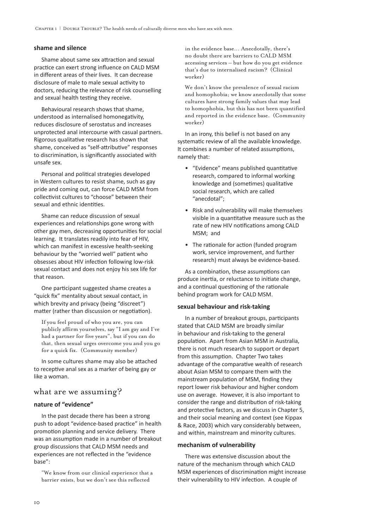#### **shame and silence**

Shame about same sex attraction and sexual practice can exert strong influence on CALD MSM in different areas of their lives. It can decrease disclosure of male to male sexual activity to doctors, reducing the relevance of risk counselling and sexual health testing they receive.

Behavioural research shows that shame, understood as internalised homonegativity, reduces disclosure of serostatus and increases unprotected anal intercourse with casual partners. Rigorous qualitative research has shown that shame, conceived as "self-attributive" responses to discrimination, is significantly associated with unsafe sex.

Personal and political strategies developed in Western cultures to resist shame, such as gay pride and coming out, can force CALD MSM from collectivist cultures to "choose" between their sexual and ethnic identities.

Shame can reduce discussion of sexual experiences and relationships gone wrong with other gay men, decreasing opportunities for social learning. It translates readily into fear of HIV, which can manifest in excessive health-seeking behaviour by the "worried well" patient who obsesses about HIV infection following low-risk sexual contact and does not enjoy his sex life for that reason.

One participant suggested shame creates a "quick fix" mentality about sexual contact, in which brevity and privacy (being "discreet") matter (rather than discussion or negotiation).

If you feel proud of who you are, you can publicly affirm yourselves, say "I am gay and I've had a partner for five years", but if you can do that, then sexual urges overcome you and you go for a quick fix. (Community member)

In some cultures shame may also be attached to receptive anal sex as a marker of being gay or like a woman.

#### what are we assuming?

#### **nature of "evidence"**

In the past decade there has been a strong push to adopt "evidence-based practice" in health promotion planning and service delivery. There was an assumption made in a number of breakout group discussions that CALD MSM needs and experiences are not reflected in the "evidence base":

"We know from our clinical experience that a barrier exists, but we don't see this reflected

in the evidence base… Anecdotally, there's no doubt there are barriers to CALD MSM accessing services – but how do you get evidence that's due to internalised racism? (Clinical worker)

We don't know the prevalence of sexual racism and homophobia; we know anecdotally that some cultures have strong family values that may lead to homophobia, but this has not been quantified and reported in the evidence base. (Community worker)

In an irony, this belief is not based on any systematic review of all the available knowledge. It combines a number of related assumptions, namely that:

- "Evidence" means published quantitative research, compared to informal working knowledge and (sometimes) qualitative social research, which are called "anecdotal";
- Risk and vulnerability will make themselves visible in a quantitative measure such as the rate of new HIV notifications among CALD MSM; and
- The rationale for action (funded program work, service improvement, and further research) must always be evidence-based.

As a combination, these assumptions can produce inertia, or reluctance to initiate change, and a continual questioning of the rationale behind program work for CALD MSM.

#### **sexual behaviour and risk-taking**

In a number of breakout groups, participants stated that CALD MSM are broadly similar in behaviour and risk-taking to the general population. Apart from Asian MSM in Australia, there is not much research to support or depart from this assumption. Chapter Two takes advantage of the comparative wealth of research about Asian MSM to compare them with the mainstream population of MSM, finding they report lower risk behaviour and higher condom use on average. However, it is also important to consider the range and distribution of risk-taking and protective factors, as we discuss in Chapter 5. and their social meaning and context (see Kippax & Race, 2003) which vary considerably between, and within, mainstream and minority cultures.

#### **mechanism of vulnerability**

There was extensive discussion about the nature of the mechanism through which CALD MSM experiences of discrimination might increase their vulnerability to HIV infection. A couple of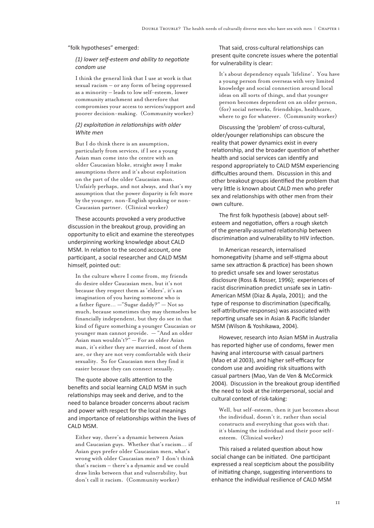#### "folk hypotheses" emerged:

#### *(1) lower self-esteem and ability to negotiate condom use*

I think the general link that I use at work is that sexual racism – or any form of being oppressed as a minority – leads to low self-esteem, lower community attachment and therefore that compromises your access to services/support and poorer decision-making. (Community worker)

#### *(2) exploitation in relationships with older White men*

But I do think there is an assumption, particularly from services, if I see a young Asian man come into the centre with an older Caucasian bloke, straight away I make assumptions there and it's about exploitation on the part of the older Caucasian man. Unfairly perhaps, and not always, and that's my assumption that the power disparity is felt more by the younger, non-English speaking or non-Caucasian partner. (Clinical worker)

These accounts provoked a very productive discussion in the breakout group, providing an opportunity to elicit and examine the stereotypes underpinning working knowledge about CALD MSM. In relation to the second account, one participant, a social researcher and CALD MSM himself, pointed out:

In the culture where I come from, my friends do desire older Caucasian men, but it's not because they respect them as 'elders', it's an imagination of you having someone who is a father figure… —"Sugar daddy?" — Not so much, because sometimes they may themselves be financially independent, but they do see in that kind of figure something a younger Caucasian or younger man cannot provide. — "And an older Asian man wouldn't?" — For an older Asian man, it's either they are married, most of them are, or they are not very comfortable with their sexuality. So for Caucasian men they find it easier because they can connect sexually.

The quote above calls attention to the benefits and social learning CALD MSM in such relationships may seek and derive, and to the need to balance broader concerns about racism and power with respect for the local meanings and importance of relationships within the lives of CALD MSM.

Either way, there's a dynamic between Asian and Caucasian guys. Whether that's racism… if Asian guys prefer older Caucasian men, what's wrong with older Caucasian men? I don't think that's racism – there's a dynamic and we could draw links between that and vulnerability, but don't call it racism. (Community worker)

That said, cross-cultural relationships can present quite concrete issues where the potential for vulnerability is clear:

It's about dependency equals 'lifeline'. You have a young person from overseas with very limited knowledge and social connection around local ideas on all sorts of things, and that younger person becomes dependent on an older person, (for) social networks, friendships, healthcare, where to go for whatever. (Community worker)

Discussing the 'problem' of cross-cultural, older/younger relationships can obscure the reality that power dynamics exist in every relationship, and the broader question of whether health and social services can identify and respond appropriately to CALD MSM experiencing difficulties around them. Discussion in this and other breakout groups identified the problem that very little is known about CALD men who prefer sex and relationships with other men from their own culture.

The first folk hypothesis (above) about selfesteem and negotiation, offers a rough sketch of the generally-assumed relationship between discrimination and vulnerability to HIV infection.

In American research, internalised homonegativity (shame and self-stigma about same sex attraction & practice) has been shown to predict unsafe sex and lower serostatus disclosure (Ross & Rosser, 1996); experiences of racist discrimination predict unsafe sex in Latin-American MSM (Diaz & Ayala, 2001); and the type of response to discrimination (specifically, self-attributive responses) was associated with reporting unsafe sex in Asian & Pacific Islander MSM (Wilson & Yoshikawa, 2004).

However, research into Asian MSM in Australia has reported higher use of condoms, fewer men having anal intercourse with casual partners (Mao et al 2003), and higher self-efficacy for condom use and avoiding risk situations with casual partners (Mao, Van de Ven & McCormick 2004). Discussion in the breakout group identified the need to look at the interpersonal, social and cultural context of risk-taking:

Well, but self-esteem, then it just becomes about the individual, doesn't it, rather than social constructs and everything that goes with that: it's blaming the individual and their poor selfesteem. (Clinical worker)

This raised a related question about how social change can be initiated. One participant expressed a real scepticism about the possibility of initiating change, suggesting interventions to enhance the individual resilience of CALD MSM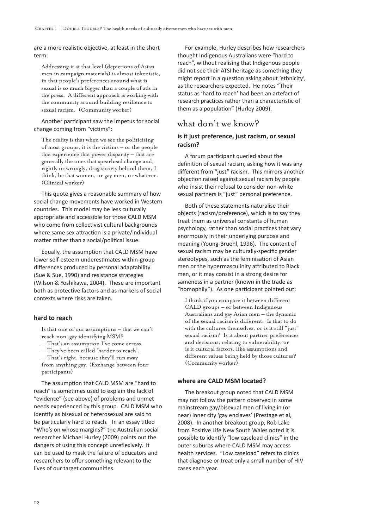are a more realistic objective, at least in the short term:

Addressing it at that level (depictions of Asian men in campaign materials) is almost tokenistic, in that people's preferences around what is sexual is so much bigger than a couple of ads in the press. A different approach is working with the community around building resilience to sexual racism. (Community worker)

Another participant saw the impetus for social change coming from "victims":

The reality is that when we see the politicising of most groups, it is the victims – or the people that experience that power disparity – that are generally the ones that spearhead change and, rightly or wrongly, drag society behind them, I think, be that women, or gay men, or whatever. (Clinical worker)

This quote gives a reasonable summary of how social change movements have worked in Western countries. This model may be less culturally appropriate and accessible for those CALD MSM who come from collectivist cultural backgrounds where same sex attraction is a private/individual matter rather than a social/political issue.

Equally, the assumption that CALD MSM have lower self-esteem underestimates within-group differences produced by personal adaptability (Sue & Sue, 1990) and resistance strategies (Wilson & Yoshikawa, 2004). These are important both as protective factors and as markers of social contexts where risks are taken.

#### **hard to reach**

Is that one of our assumptions – that we can't reach non-gay identifying MSM?

- That's an assumption I've come across.
- They've been called 'harder to reach'.

— That's right, because they'll run away from anything gay. (Exchange between four participants)

The assumption that CALD MSM are "hard to reach" is sometimes used to explain the lack of "evidence" (see above) of problems and unmet needs experienced by this group. CALD MSM who identify as bisexual or heterosexual are said to be particularly hard to reach. In an essay titled "Who's on whose margins?" the Australian social researcher Michael Hurley (2009) points out the dangers of using this concept unreflexively. It can be used to mask the failure of educators and researchers to offer something relevant to the lives of our target communities.

For example, Hurley describes how researchers thought Indigenous Australians were "hard to reach", without realising that Indigenous people did not see their ATSI heritage as something they might report in a question asking about 'ethnicity', as the researchers expected. He notes "Their status as 'hard to reach' had been an artefact of research practices rather than a characteristic of them as a population" (Hurley 2009).

### what don't we know?

#### **is it just preference, just racism, or sexual racism?**

A forum participant queried about the definition of sexual racism, asking how it was any different from "just" racism. This mirrors another objection raised against sexual racism by people who insist their refusal to consider non-white sexual partners is "just" personal preference.

Both of these statements naturalise their objects (racism/preference), which is to say they treat them as universal constants of human psychology, rather than social practices that vary enormously in their underlying purpose and meaning (Young-Bruehl, 1996). The content of sexual racism may be culturally-specific gender stereotypes, such as the feminisation of Asian men or the hypermasculinity attributed to Black men, or it may consist in a strong desire for sameness in a partner (known in the trade as "homophily"). As one participant pointed out:

I think if you compare it between different CALD groups – or between Indigenous Australians and gay Asian men – the dynamic of the sexual racism is different. Is that to do with the cultures themselves, or is it still "just" sexual racism? Is it about partner preferences and decisions, relating to vulnerability, or is it cultural factors, like assumptions and different values being held by those cultures? (Community worker)

#### **where are CALD MSM located?**

The breakout group noted that CALD MSM may not follow the pattern observed in some mainstream gay/bisexual men of living in (or near) inner city 'gay enclaves' (Prestage et al, 2008). In another breakout group, Rob Lake from Positive Life New South Wales noted it is possible to identify "low caseload clinics" in the outer suburbs where CALD MSM may access health services. "Low caseload" refers to clinics that diagnose or treat only a small number of HIV cases each year.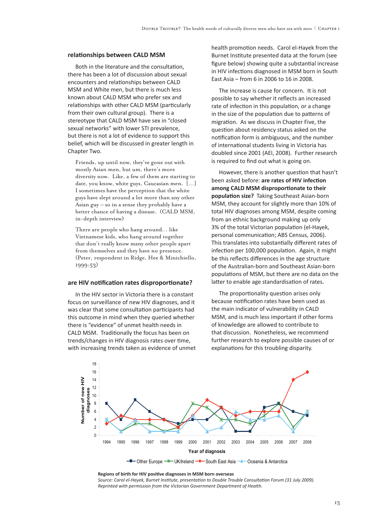#### relationships between CALD MSM

Both in the literature and the consultation. there has been a lot of discussion about sexual encounters and relationships between CALD MSM and White men, but there is much less known about CALD MSM who prefer sex and relationships with other CALD MSM (particularly from their own cultural group). There is a stereotype that CALD MSM have sex in "closed sexual networks" with lower STI prevalence, but there is not a lot of evidence to support this belief, which will be discussed in greater length in Chapter Two.

Friends, up until now, they've gone out with mostly Asian men, but um, there's more diversity now. Like, a few of them are starting to date, you know, white guys, Caucasian men. […] I sometimes have the perception that the white guys have slept around a lot more than any other Asian guy – so in a sense they probably have a better chance of having a disease. (CALD MSM, in-depth interview)

There are people who hang around… like Vietnamese kids, who hang around together that don't really know many other people apart from themselves and they have no presence. (Peter, respondent in Ridge, Hee & Minichiello, 1999:53)

#### are HIV notification rates disproportionate?

In the HIV sector in Victoria there is a constant focus on surveillance of new HIV diagnoses, and it was clear that some consultation participants had this outcome in mind when they queried whether there is "evidence" of unmet health needs in CALD MSM. Traditionally the focus has been on trends/changes in HIV diagnosis rates over time, with increasing trends taken as evidence of unmet health promotion needs. Carol el-Hayek from the Burnet Institute presented data at the forum (see figure below) showing quite a substantial increase in HIV infections diagnosed in MSM born in South East Asia – from 6 in 2006 to 16 in 2008.

The increase is cause for concern. It is not possible to say whether it reflects an increased rate of infection in this population, or a change in the size of the population due to patterns of migration. As we discuss in Chapter Five, the question about residency status asked on the notification form is ambiguous, and the number of international students living in Victoria has doubled since 2001 (AEI, 2008). Further research is required to find out what is going on.

However, there is another question that hasn't been asked before: are rates of HIV infection among CALD MSM disproportionate to their **population size?** Taking Southeast Asian-born MSM, they account for slightly more than 10% of total HIV diagnoses among MSM, despite coming from an ethnic background making up only 3% of the total Victorian population (el-Hayek, personal communication; ABS Census, 2006). This translates into substantially different rates of infection per 100,000 population. Again, it might be this reflects differences in the age structure of the Australian-born and Southeast Asian-born populations of MSM, but there are no data on the latter to enable age standardisation of rates.

The proportionality question arises only because notification rates have been used as the main indicator of vulnerability in CALD MSM, and is much less important if other forms of knowledge are allowed to contribute to that discussion. Nonetheless, we recommend further research to explore possible causes of or explanations for this troubling disparity.



<sup>&</sup>lt;sup>-■</sup> Other Europe <sup>-- W</sup> UK/Ireland <sup>-•</sup> South East Asia <sup>-•</sup> Oceania & Antarctica

#### **Regions of birth for HIV positive diagnoses in MSM born overseas**

Source: Carol el-Hayek, Burnet Institute, presentation to Double Trouble Consultation Forum (31 July 2009). *Reprinted with permission from the Victorian Government Department of Health.*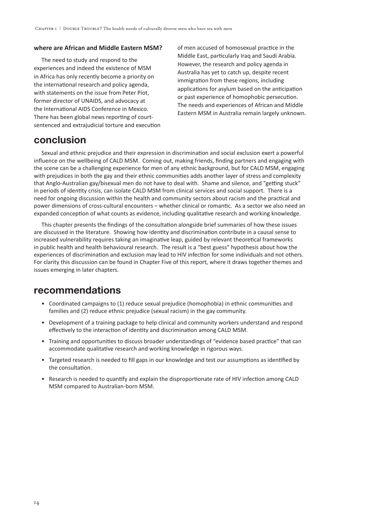#### **where are African and Middle Eastern MSM?**

The need to study and respond to the experiences and indeed the existence of MSM in Africa has only recently become a priority on the international research and policy agenda. with statements on the issue from Peter Piot, former director of UNAIDS, and advocacy at the International AIDS Conference in Mexico. There has been global news reporting of courtsentenced and extrajudicial torture and execution of men accused of homosexual practice in the Middle East, particularly Iraq and Saudi Arabia. However, the research and policy agenda in Australia has yet to catch up, despite recent immigration from these regions, including applications for asylum based on the anticipation or past experience of homophobic persecution. The needs and experiences of African and Middle Eastern MSM in Australia remain largely unknown.

## **conclusion**

Sexual and ethnic prejudice and their expression in discrimination and social exclusion exert a powerful influence on the wellbeing of CALD MSM. Coming out, making friends, finding partners and engaging with the scene can be a challenging experience for men of any ethnic background, but for CALD MSM, engaging with prejudices in both the gay and their ethnic communities adds another layer of stress and complexity that Anglo-Australian gay/bisexual men do not have to deal with. Shame and silence, and "getting stuck" in periods of identity crisis, can isolate CALD MSM from clinical services and social support. There is a need for ongoing discussion within the health and community sectors about racism and the practical and power dimensions of cross-cultural encounters – whether clinical or romantic. As a sector we also need an expanded conception of what counts as evidence, including qualitative research and working knowledge.

This chapter presents the findings of the consultation alongside brief summaries of how these issues are discussed in the literature. Showing how identity and discrimination contribute in a causal sense to increased vulnerability requires taking an imaginative leap, guided by relevant theoretical frameworks in public health and health behavioural research. The result is a "best guess" hypothesis about how the experiences of discrimination and exclusion may lead to HIV infection for some individuals and not others. For clarity this discussion can be found in Chapter Five of this report, where it draws together themes and issues emerging in later chapters.

## **recommendations**

- Coordinated campaigns to (1) reduce sexual prejudice (homophobia) in ethnic communities and families and (2) reduce ethnic prejudice (sexual racism) in the gay community.
- Development of a training package to help clinical and community workers understand and respond effectively to the interaction of identity and discrimination among CALD MSM.
- Training and opportunities to discuss broader understandings of "evidence based practice" that can accommodate qualitative research and working knowledge in rigorous ways.
- Targeted research is needed to fill gaps in our knowledge and test our assumptions as identified by the consultation.
- Research is needed to quantify and explain the disproportionate rate of HIV infection among CALD MSM compared to Australian-born MSM.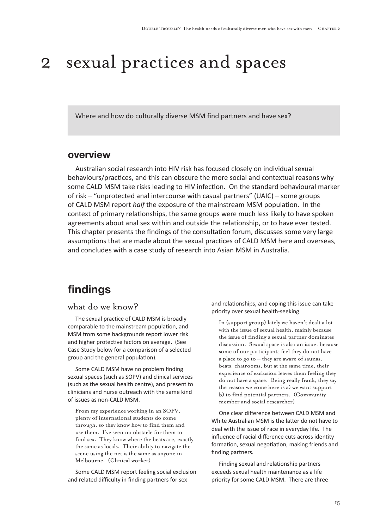# 2 sexual practices and spaces

Where and how do culturally diverse MSM find partners and have sex?

## **overview**

Australian social research into HIV risk has focused closely on individual sexual behaviours/practices, and this can obscure the more social and contextual reasons why some CALD MSM take risks leading to HIV infection. On the standard behavioural marker of risk – "unprotected anal intercourse with casual partners" (UAIC) – some groups of CALD MSM report *half* the exposure of the mainstream MSM population. In the context of primary relationships, the same groups were much less likely to have spoken agreements about anal sex within and outside the relationship, or to have ever tested. This chapter presents the findings of the consultation forum, discusses some very large assumptions that are made about the sexual practices of CALD MSM here and overseas, and concludes with a case study of research into Asian MSM in Australia.

# **fi ndings**

## what do we know?

The sexual practice of CALD MSM is broadly comparable to the mainstream population, and MSM from some backgrounds report lower risk and higher protective factors on average. (See Case Study below for a comparison of a selected group and the general population).

Some CALD MSM have no problem finding sexual spaces (such as SOPV) and clinical services (such as the sexual health centre), and present to clinicians and nurse outreach with the same kind of issues as non-CALD MSM.

From my experience working in an SOPV, plenty of international students do come through, so they know how to find them and use them. I've seen no obstacle for them to find sex. They know where the beats are, exactly the same as locals. Their ability to navigate the scene using the net is the same as anyone in Melbourne. (Clinical worker)

Some CALD MSM report feeling social exclusion and related difficulty in finding partners for sex

and relationships, and coping this issue can take priority over sexual health-seeking.

In (support group) lately we haven't dealt a lot with the issue of sexual health, mainly because the issue of finding a sexual partner dominates discussion. Sexual space is also an issue, because some of our participants feel they do not have a place to go to  $-$  they are aware of saunas, beats, chatrooms, but at the same time, their experience of exclusion leaves them feeling they do not have a space. Being really frank, they say the reason we come here is a) we want support b) to find potential partners. (Community member and social researcher)

One clear difference between CALD MSM and White Australian MSM is the latter do not have to deal with the issue of race in everyday life. The influence of racial difference cuts across identity formation, sexual negotiation, making friends and finding partners.

Finding sexual and relationship partners exceeds sexual health maintenance as a life priority for some CALD MSM. There are three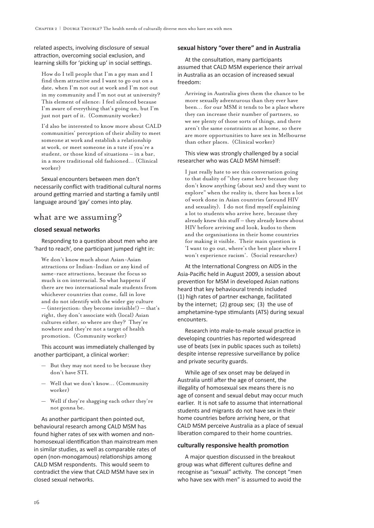related aspects, involving disclosure of sexual attraction, overcoming social exclusion, and learning skills for 'picking up' in social settings.

How do I tell people that I'm a gay man and I find them attractive and I want to go out on a date, when I'm not out at work and I'm not out in my community and I'm not out at university? This element of silence: I feel silenced because I'm aware of everything that's going on, but I'm just not part of it. (Community worker)

I'd also be interested to know more about CALD communities' perception of their ability to meet someone at work and establish a relationship at work, or meet someone in a tute if you're a student, or those kind of situations – in a bar, in a more traditional old fashioned… (Clinical worker)

Sexual encounters between men don't necessarily conflict with traditional cultural norms around getting married and starting a family until language around 'gay' comes into play.

### what are we assuming?

#### **closed sexual networks**

Responding to a question about men who are 'hard to reach', one participant jumped right in:

We don't know much about Asian-Asian attractions or Indian-Indian or any kind of same-race attractions, because the focus so much is on interracial. So what happens if there are two international male students from whichever countries that come, fall in love and do not identify with the wider gay culture — (interjection: they become invisible!) — that's right, they don't associate with (local) Asian cultures either, so where are they? They're nowhere and they're not a target of health promotion. (Community worker)

This account was immediately challenged by another participant, a clinical worker:

- But they may not need to be because they don't have STI.
- Well that we don't know… (Community worker)
- Well if they're shagging each other they're not gonna be.

As another participant then pointed out, behavioural research among CALD MSM has found higher rates of sex with women and nonhomosexual identification than mainstream men in similar studies, as well as comparable rates of open (non-monogamous) relationships among CALD MSM respondents. This would seem to contradict the view that CALD MSM have sex in closed sexual networks.

#### **sexual history "over there" and in Australia**

At the consultation, many participants assumed that CALD MSM experience their arrival in Australia as an occasion of increased sexual freedom:

Arriving in Australia gives them the chance to be more sexually adventurous than they ever have been… for our MSM it tends to be a place where they can increase their number of partners, so we see plenty of those sorts of things, and there aren't the same constraints as at home, so there are more opportunities to have sex in Melbourne than other places. (Clinical worker)

This view was strongly challenged by a social researcher who was CALD MSM himself:

I just really hate to see this conversation going to that duality of "they came here because they don't know anything (about sex) and they want to explore" when the reality is, there has been a lot of work done in Asian countries (around HIV and sexuality). I do not find myself explaining a lot to students who arrive here, because they already knew this stuff – they already knew about HIV before arriving and look, kudos to them and the organisations in their home countries for making it visible. Their main question is 'I want to go out, where's the best place where I won't experience racism'. (Social researcher)

At the International Congress on AIDS in the Asia-Pacific held in August 2009, a session about prevention for MSM in developed Asian nations heard that key behavioural trends included (1) high rates of partner exchange, facilitated by the internet; (2) group sex; (3) the use of amphetamine-type stimulants (ATS) during sexual encounters.

Research into male-to-male sexual practice in developing countries has reported widespread use of beats (sex in public spaces such as toilets) despite intense repressive surveillance by police and private security guards.

While age of sex onset may be delayed in Australia until after the age of consent, the illegality of homosexual sex means there is no age of consent and sexual debut may occur much earlier. It is not safe to assume that international students and migrants do not have sex in their home countries before arriving here, or that CALD MSM perceive Australia as a place of sexual liberation compared to their home countries.

#### culturally responsive health promotion

A major question discussed in the breakout group was what different cultures define and recognise as "sexual" activity. The concept "men who have sex with men" is assumed to avoid the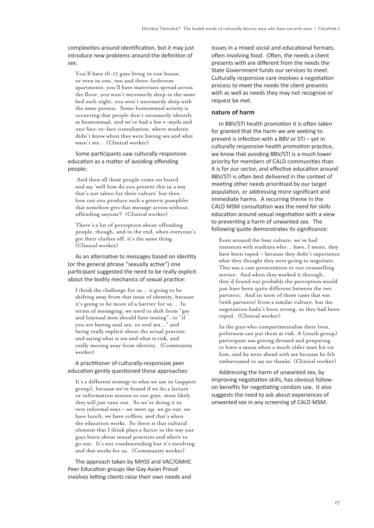complexities around identification, but it may just introduce new problems around the definition of sex.

You'll have 16-17 guys living in one house, or even in one, two and three-bedroom apartments; you'll have mattresses spread across the floor, you won't necessarily sleep in the same bed each night, you won't necessarily sleep with the same person. Some homosexual activity is occurring that people don't necessarily identify as homosexual, and we've had a few e-mails and one face-to-face consultation, where students didn't know when they were having sex and what wasn't sex… (Clinical worker)

Some participants saw culturally responsive education as a matter of avoiding offending people:

 And then all these people come on board and say 'well how do you present this in a way that's not taboo for their culture' but then how can you produce such a generic pamphlet that somehow gets that message across without offending anyone? (Clinical worker)

There's a lot of perception about offending people, though, and in the end, when everyone's got their clothes off, it's the same thing. (Clinical worker)

As an alternative to messages based on identity (or the general phrase "sexually active") one participant suggested the need to be really explicit about the bodily mechanics of sexual practice:

I think the challenge for us… is going to be shifting away from that issue of identity, because it's going to be more of a barrier for us… In terms of messaging, we need to shift from "gay and bisexual men should have testing", to "if you are having anal sex, or oral sex…" and being really explicit about the actual practice, and saying what is sex and what is risk, and really moving away from identity. (Community worker)

A practitioner of culturally-responsive peer education gently questioned these approaches:

It's a different strategy to what we use in (support group), because we've found if we do a lecture or information session to our guys, most likely they will just tune out. So we're doing it in very informal ways – we meet up, we go out, we have lunch, we have coffees, and that's when the education works. So there is that cultural element that I think plays a factor in the way our guys learn about sexual practices and where to go out. It's not condescending but it's involving and that works for us. (Community worker)

The approach taken by MHSS and VAC/GMHC Peer Education groups like Gay Asian Proud involves letting clients raise their own needs and

issues in a mixed social and educational formats. often involving food. Often, the needs a client presents with are different from the needs the State Government funds our services to meet. Culturally responsive care involves a negotiation process to meet the needs the client presents with as well as needs they may not recognise or request be met.

#### **nature of harm**

In BBV/STI health promotion it is often taken for granted that the harm we are seeking to prevent is infection with a BBV or  $STI - yet$  in culturally responsive health promotion practice, we know that avoiding BBV/STI is a much lower priority for members of CALD communities than it is for our sector, and effective education around BBV/STI is often best delivered in the context of meeting other needs prioritised by our target population, or addressing more significant and immediate harms. A recurring theme in the CALD MSM consultation was the need for skills education around sexual negotiation with a view to preventing a harm of unwanted sex. The following quote demonstrates its significance:

Even around the beat culture, we've had instances with students who… have, I mean, they have been raped – because they didn't experience what they thought they were going to negotiate. This was a case presentation to our counselling service. And when they worked it through, they'd found out probably the perception would just have been quite different between the two partners. And in most of those cases that was (with partners) from a similar culture, but the negotiation hadn't been strong, so they had been raped. (Clinical worker)

In the guys who compartmentalise their lives, politeness can put them at risk. A (youth group) participant was getting dressed and preparing to leave a sauna when a much older man hit on him, and he went ahead with sex because he felt embarrassed to say no thanks. (Clinical worker)

Addressing the harm of unwanted sex, by improving negotiation skills, has obvious followon benefits for negotiating condom use. It also suggests the need to ask about experiences of unwanted sex in any screening of CALD MSM.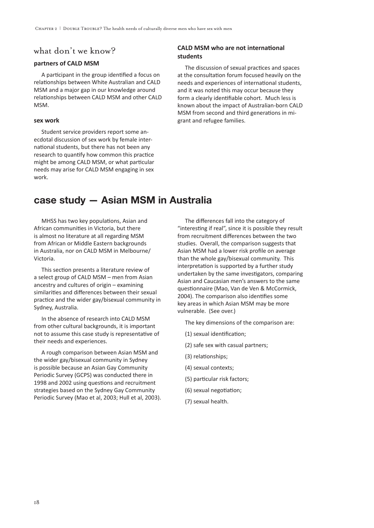## what don't we know?

#### **partners of CALD MSM**

A participant in the group identified a focus on relationships between White Australian and CALD MSM and a major gap in our knowledge around relationships between CALD MSM and other CALD MSM.

#### **sex work**

Student service providers report some anecdotal discussion of sex work by female international students, but there has not been any research to quantify how common this practice might be among CALD MSM, or what particular needs may arise for CALD MSM engaging in sex work.

#### **CALD MSM who are not international students**

The discussion of sexual practices and spaces at the consultation forum focused heavily on the needs and experiences of international students, and it was noted this may occur because they form a clearly identifiable cohort. Much less is known about the impact of Australian-born CALD MSM from second and third generations in migrant and refugee families.

## **case study — Asian MSM in Australia**

MHSS has two key populations, Asian and African communities in Victoria, but there is almost no literature at all regarding MSM from African or Middle Eastern backgrounds in Australia, nor on CALD MSM in Melbourne/ Victoria.

This section presents a literature review of a select group of CALD MSM – men from Asian ancestry and cultures of origin – examining similarities and differences between their sexual practice and the wider gay/bisexual community in Sydney, Australia.

In the absence of research into CALD MSM from other cultural backgrounds, it is important not to assume this case study is representative of their needs and experiences.

A rough comparison between Asian MSM and the wider gay/bisexual community in Sydney is possible because an Asian Gay Community Periodic Survey (GCPS) was conducted there in 1998 and 2002 using questions and recruitment strategies based on the Sydney Gay Community Periodic Survey (Mao et al, 2003; Hull et al, 2003).

The differences fall into the category of "interesting if real", since it is possible they result from recruitment differences between the two studies. Overall, the comparison suggests that Asian MSM had a lower risk profile on average than the whole gay/bisexual community. This interpretation is supported by a further study undertaken by the same investigators, comparing Asian and Caucasian men's answers to the same questionnaire (Mao, Van de Ven & McCormick, 2004). The comparison also identifies some key areas in which Asian MSM may be more vulnerable. (See over.)

The key dimensions of the comparison are:

- (1) sexual identification:
- (2) safe sex with casual partners;
- (3) relationships;
- (4) sexual contexts;
- (5) particular risk factors;
- $(6)$  sexual negotiation;
- (7) sexual health.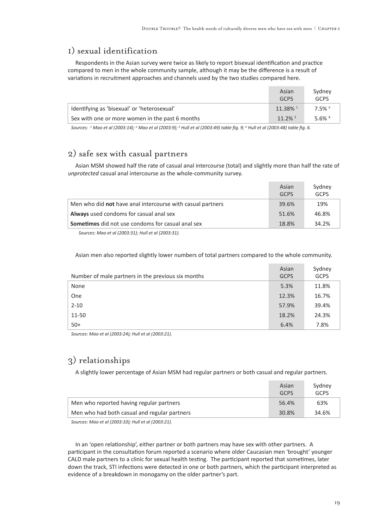## 1) sexual identification

Respondents in the Asian survey were twice as likely to report bisexual identification and practice compared to men in the whole community sample, although it may be the difference is a result of variations in recruitment approaches and channels used by the two studies compared here.

|                                                 | Asian                  | Sydney               |
|-------------------------------------------------|------------------------|----------------------|
|                                                 | GCPS                   | GCPS                 |
| Identifying as 'bisexual' or 'heterosexual'     | $11.38\%$ <sup>1</sup> | $7.5\%$ <sup>3</sup> |
| Sex with one or more women in the past 6 months | $11.2\%$ <sup>2</sup>  | 5.6% $4$             |

Sources: <sup>1</sup> Mao et al (2003:14); <sup>2</sup> Mao et al (2003:9); <sup>3</sup> Hull et al (2003:49) table fig. 9; <sup>4</sup> Hull et al (2003:48) table fig. 6.

## 2) safe sex with casual partners

Asian MSM showed half the rate of casual anal intercourse (total) and slightly more than half the rate of *unprotected* casual anal intercourse as the whole-community survey.

|                                                            | Asian       | Sydney |
|------------------------------------------------------------|-------------|--------|
|                                                            | <b>GCPS</b> | GCPS   |
| Men who did not have anal intercourse with casual partners | 39.6%       | 19%    |
| <b>Always</b> used condoms for casual anal sex             | 51.6%       | 46.8%  |
| <b>Sometimes</b> did not use condoms for casual anal sex   | 18.8%       | 34.2%  |
|                                                            |             |        |

*Sources: Mao et al (2003:31); Hull et al (2003:31).*

#### Asian men also reported slightly lower numbers of total partners compared to the whole community.

| Number of male partners in the previous six months | Asian<br><b>GCPS</b> | Sydney<br><b>GCPS</b> |
|----------------------------------------------------|----------------------|-----------------------|
| None                                               | 5.3%                 | 11.8%                 |
| <b>One</b>                                         | 12.3%                | 16.7%                 |
| $2 - 10$                                           | 57.9%                | 39.4%                 |
| $11 - 50$                                          | 18.2%                | 24.3%                 |
| $50+$                                              | 6.4%                 | 7.8%                  |

*Sources: Mao et al (2003:24); Hull et al (2003:21).*

## 3) relationships

A slightly lower percentage of Asian MSM had regular partners or both casual and regular partners.

|                                              | Asian<br>GCPS | Sydney<br>GCPS |
|----------------------------------------------|---------------|----------------|
| Men who reported having regular partners     | 56.4%         | 63%            |
| Men who had both casual and regular partners | 30.8%         | 34.6%          |

*Sources: Mao et al (2003:10); Hull et al (2003:21).*

In an 'open relationship', either partner or both partners may have sex with other partners. A participant in the consultation forum reported a scenario where older Caucasian men 'brought' younger CALD male partners to a clinic for sexual health testing. The participant reported that sometimes, later down the track, STI infections were detected in one or both partners, which the participant interpreted as evidence of a breakdown in monogamy on the older partner's part.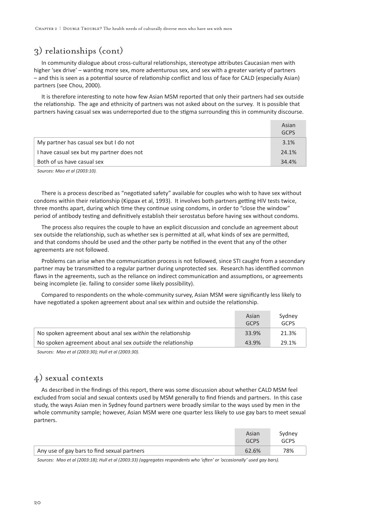## 3) relationships (cont)

In community dialogue about cross-cultural relationships, stereotype attributes Caucasian men with higher 'sex drive' – wanting more sex, more adventurous sex, and sex with a greater variety of partners – and this is seen as a potential source of relationship conflict and loss of face for CALD (especially Asian) partners (see Chou, 2000).

It is therefore interesting to note how few Asian MSM reported that only their partners had sex outside the relationship. The age and ethnicity of partners was not asked about on the survey. It is possible that partners having casual sex was underreported due to the stigma surrounding this in community discourse.

|                                           | Asian<br><b>GCPS</b> |
|-------------------------------------------|----------------------|
| My partner has casual sex but I do not    | 3.1%                 |
| I have casual sex but my partner does not | 24.1%                |
| Both of us have casual sex                | 34.4%                |
|                                           |                      |

*Sources: Mao et al (2003:10).*

There is a process described as "negotiated safety" available for couples who wish to have sex without condoms within their relationship (Kippax et al, 1993). It involves both partners getting HIV tests twice, three months apart, during which time they continue using condoms, in order to "close the window" period of antibody testing and definitively establish their serostatus before having sex without condoms.

The process also requires the couple to have an explicit discussion and conclude an agreement about sex outside the relationship, such as whether sex is permitted at all, what kinds of sex are permitted, and that condoms should be used and the other party be notified in the event that any of the other agreements are not followed.

Problems can arise when the communication process is not followed, since STI caught from a secondary partner may be transmitted to a regular partner during unprotected sex. Research has identified common flaws in the agreements, such as the reliance on indirect communication and assumptions, or agreements being incomplete (ie. failing to consider some likely possibility).

Compared to respondents on the whole-community survey, Asian MSM were significantly less likely to have negotiated a spoken agreement about anal sex within and outside the relationship.

|                                                             | Asian<br>GCPS | Sydney<br>GCPS |
|-------------------------------------------------------------|---------------|----------------|
| No spoken agreement about anal sex within the relationship  | 33.9%         | 21.3%          |
| No spoken agreement about anal sex outside the relationship | 43.9%         | 29.1%          |

*Sources: Mao et al (2003:30); Hull et al (2003:30).*

### 4) sexual contexts

As described in the findings of this report, there was some discussion about whether CALD MSM feel excluded from social and sexual contexts used by MSM generally to find friends and partners. In this case study, the ways Asian men in Sydney found partners were broadly similar to the ways used by men in the whole community sample; however, Asian MSM were one quarter less likely to use gay bars to meet sexual partners.

|                                             | <b>Asian</b> | Sydney |
|---------------------------------------------|--------------|--------|
|                                             | <b>GCPS</b>  | GCPS   |
| Any use of gay bars to find sexual partners | 62.6%        | 78%    |

Sources: Mao et al (2003:18); Hull et al (2003:33) (aggregates respondents who 'often' or 'occasionally' used gay bars).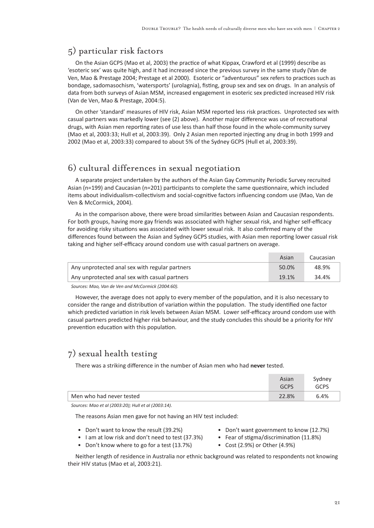## 5) particular risk factors

On the Asian GCPS (Mao et al, 2003) the practice of what Kippax, Crawford et al (1999) describe as 'esoteric sex' was quite high, and it had increased since the previous survey in the same study (Van de Ven, Mao & Prestage 2004; Prestage et al 2000). Esoteric or "adventurous" sex refers to practices such as bondage, sadomasochism, 'watersports' (urolagnia), fisting, group sex and sex on drugs. In an analysis of data from both surveys of Asian MSM, increased engagement in esoteric sex predicted increased HIV risk (Van de Ven, Mao & Prestage, 2004:5).

On other 'standard' measures of HIV risk, Asian MSM reported less risk practices. Unprotected sex with casual partners was markedly lower (see (2) above). Another major difference was use of recreational drugs, with Asian men reporting rates of use less than half those found in the whole-community survey (Mao et al, 2003:33; Hull et al, 2003:39). Only 2 Asian men reported injecting any drug in both 1999 and 2002 (Mao et al, 2003:33) compared to about 5% of the Sydney GCPS (Hull et al, 2003:39).

## 6) cultural differences in sexual negotiation

A separate project undertaken by the authors of the Asian Gay Community Periodic Survey recruited Asian (n=199) and Caucasian (n=201) participants to complete the same questionnaire, which included items about individualism-collectivism and social-cognitive factors influencing condom use (Mao, Van de Ven & McCormick, 2004).

As in the comparison above, there were broad similarities between Asian and Caucasian respondents. For both groups, having more gay friends was associated with higher sexual risk, and higher self-efficacy for avoiding risky situations was associated with lower sexual risk. It also confirmed many of the differences found between the Asian and Sydney GCPS studies, with Asian men reporting lower casual risk taking and higher self-efficacy around condom use with casual partners on average.

|                                                | Asian | Caucasian |
|------------------------------------------------|-------|-----------|
| Any unprotected anal sex with regular partners | 50.0% | 48.9%     |
| Any unprotected anal sex with casual partners  | 19.1% | 34.4%     |

*Sources: Mao, Van de Ven and McCormick (2004:60).*

However, the average does not apply to every member of the population, and it is also necessary to consider the range and distribution of variation within the population. The study identified one factor which predicted variation in risk levels between Asian MSM. Lower self-efficacy around condom use with casual partners predicted higher risk behaviour, and the study concludes this should be a priority for HIV prevention education with this population.

## 7) sexual health testing

There was a striking difference in the number of Asian men who had never tested.

|                          | Asian<br>GCPS | Sydney<br>GCPS |
|--------------------------|---------------|----------------|
| Men who had never tested | 22.8%         | 6.4%           |

*Sources: Mao et al (2003:20); Hull et al (2003:14).*

The reasons Asian men gave for not having an HIV test included:

- Don't want to know the result (39.2%)
- Don't want government to know (12.7%)
- Fear of stigma/discrimination  $(11.8\%)$
- I am at low risk and don't need to test (37.3%) • Don't know where to go for a test (13.7%)
- Cost (2.9%) or Other (4.9%)

Neither length of residence in Australia nor ethnic background was related to respondents not knowing their HIV status (Mao et al, 2003:21).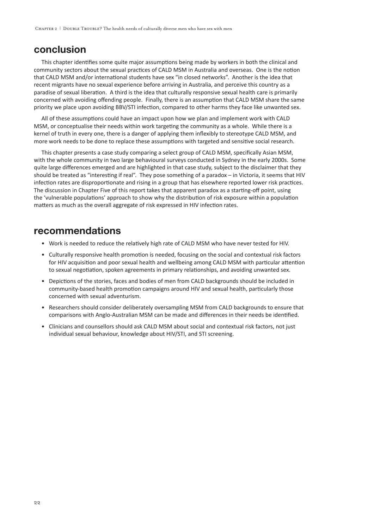## **conclusion**

This chapter identifies some quite major assumptions being made by workers in both the clinical and community sectors about the sexual practices of CALD MSM in Australia and overseas. One is the notion that CALD MSM and/or international students have sex "in closed networks". Another is the idea that recent migrants have no sexual experience before arriving in Australia, and perceive this country as a paradise of sexual liberation. A third is the idea that culturally responsive sexual health care is primarily concerned with avoiding offending people. Finally, there is an assumption that CALD MSM share the same priority we place upon avoiding BBV/STI infection, compared to other harms they face like unwanted sex.

All of these assumptions could have an impact upon how we plan and implement work with CALD MSM, or conceptualise their needs within work targeting the community as a whole. While there is a kernel of truth in every one, there is a danger of applying them inflexibly to stereotype CALD MSM, and more work needs to be done to replace these assumptions with targeted and sensitive social research.

This chapter presents a case study comparing a select group of CALD MSM, specifically Asian MSM, with the whole community in two large behavioural surveys conducted in Sydney in the early 2000s. Some quite large differences emerged and are highlighted in that case study, subject to the disclaimer that they should be treated as "interesting if real". They pose something of a paradox – in Victoria, it seems that HIV infection rates are disproportionate and rising in a group that has elsewhere reported lower risk practices. The discussion in Chapter Five of this report takes that apparent paradox as a starting-off point, using the 'vulnerable populations' approach to show why the distribution of risk exposure within a population matters as much as the overall aggregate of risk expressed in HIV infection rates.

## **recommendations**

- Work is needed to reduce the relatively high rate of CALD MSM who have never tested for HIV.
- Culturally responsive health promotion is needed, focusing on the social and contextual risk factors for HIV acquisition and poor sexual health and wellbeing among CALD MSM with particular attention to sexual negotiation, spoken agreements in primary relationships, and avoiding unwanted sex.
- Depictions of the stories, faces and bodies of men from CALD backgrounds should be included in community-based health promotion campaigns around HIV and sexual health, particularly those concerned with sexual adventurism.
- Researchers should consider deliberately oversampling MSM from CALD backgrounds to ensure that comparisons with Anglo-Australian MSM can be made and differences in their needs be identified.
- Clinicians and counsellors should ask CALD MSM about social and contextual risk factors, not just individual sexual behaviour, knowledge about HIV/STI, and STI screening.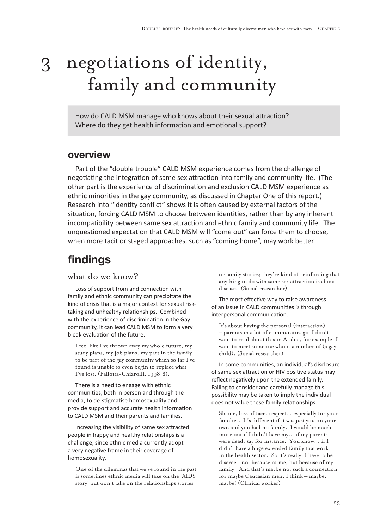# 3 negotiations of identity, family and community

How do CALD MSM manage who knows about their sexual attraction? Where do they get health information and emotional support?

## **overview**

Part of the "double trouble" CALD MSM experience comes from the challenge of negotiating the integration of same sex attraction into family and community life. (The other part is the experience of discrimination and exclusion CALD MSM experience as ethnic minorities in the gay community, as discussed in Chapter One of this report.) Research into "identity conflict" shows it is often caused by external factors of the situation, forcing CALD MSM to choose between identities, rather than by any inherent incompatibility between same sex attraction and ethnic family and community life. The unquestioned expectation that CALD MSM will "come out" can force them to choose, when more tacit or staged approaches, such as "coming home", may work better.

# **fi ndings**

## what do we know?

Loss of support from and connection with family and ethnic community can precipitate the kind of crisis that is a major context for sexual risktaking and unhealthy relationships. Combined with the experience of discrimination in the Gay community, it can lead CALD MSM to form a very bleak evaluation of the future.

I feel like I've thrown away my whole future, my study plans, my job plans, my part in the family to be part of the gay community which so far I've found is unable to even begin to replace what I've lost. (Pallotta-Chiarolli, 1998:8).

There is a need to engage with ethnic communities, both in person and through the media, to de-stigmatise homosexuality and provide support and accurate health information to CALD MSM and their parents and families.

Increasing the visibility of same sex attracted people in happy and healthy relationships is a challenge, since ethnic media currently adopt a very negative frame in their coverage of homosexuality.

One of the dilemmas that we've found in the past is sometimes ethnic media will take on the 'AIDS story' but won't take on the relationships stories

or family stories; they're kind of reinforcing that anything to do with same sex attraction is about disease. (Social researcher)

The most effective way to raise awareness of an issue in CALD communities is through interpersonal communication.

It's about having the personal (interaction) – parents in a lot of communities go 'I don't want to read about this in Arabic, for example; I want to meet someone who is a mother of (a gay child). (Social researcher)

In some communities, an individual's disclosure of same sex attraction or HIV positive status may reflect negatively upon the extended family. Failing to consider and carefully manage this possibility may be taken to imply the individual does not value these family relationships.

Shame, loss of face, respect… especially for your families. It's different if it was just you on your own and you had no family. I would be much more out if I didn't have my… if my parents were dead, say for instance. You know… if I didn't have a huge extended family that work in the health sector. So it's really, I have to be discreet, not because of me, but because of my family. And that's maybe not such a connection for maybe Caucasian men, I think – maybe, maybe! (Clinical worker)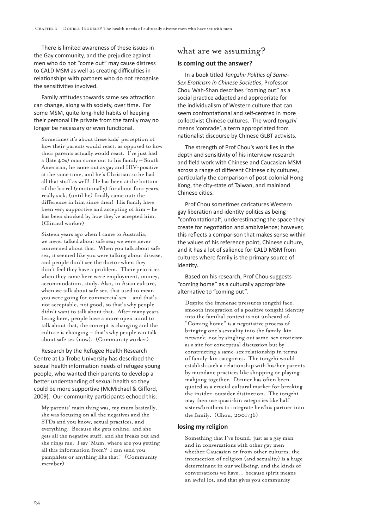There is limited awareness of these issues in the Gay community, and the prejudice against men who do not "come out" may cause distress to CALD MSM as well as creating difficulties in relationships with partners who do not recognise the sensitivities involved.

Family attitudes towards same sex attraction can change, along with society, over time. For some MSM, quite long-held habits of keeping their personal life private from the family may no longer be necessary or even functional.

Sometimes it's about these kids' perception of how their parents would react, as opposed to how their parents actually would react. I've just had a (late 40s) man come out to his family – South American, he came out as gay and HIV-positive at the same time, and he's Christian so he had all that stuff as well! He has been at the bottom of the barrel (emotionally) for about four years, really sick, (until he) finally came out: the difference in him since then! His family have been very supportive and accepting of him – he has been shocked by how they've accepted him. (Clinical worker)

Sixteen years ago when I came to Australia, we never talked about safe sex; we were never concerned about that. When you talk about safe sex, it seemed like you were talking about disease, and people don't see the doctor when they don't feel they have a problem. Their priorities when they came here were employment, money, accommodation, study. Also, in Asian culture, when we talk about safe sex, that used to mean you were going for commercial sex – and that's not acceptable, not good, so that's why people didn't want to talk about that. After many years living here, people have a more open mind to talk about that, the concept is changing and the culture is changing – that's why people can talk about safe sex (now). (Community worker)

Research by the Refugee Health Research Centre at La Trobe University has described the sexual health information needs of refugee young people, who wanted their parents to develop a better understanding of sexual health so they could be more supportive (McMichael & Gifford, 2009). Our community participants echoed this:

My parents' main thing was, my mum basically, she was focusing on all the negatives and the STDs and you know, sexual practices, and everything. Because she gets online, and she gets all the negative stuff, and she freaks out and she rings me. I say 'Mum, where are you getting all this information from? I can send you pamphlets or anything like that!' (Community member)

### what are we assuming?

#### **is coming out the answer?**

In a book titled *Tongzhi: Politics of Same-*Sex Eroticism in Chinese Societies, Professor Chou Wah-Shan describes "coming out" as a social practice adapted and appropriate for the individualism of Western culture that can seem confrontational and self-centred in more collectivist Chinese cultures. The word *tongzhi* means 'comrade', a term appropriated from nationalist discourse by Chinese GLBT activists.

The strength of Prof Chou's work lies in the depth and sensitivity of his interview research and field work with Chinese and Caucasian MSM across a range of different Chinese city cultures, particularly the comparison of post-colonial Hong Kong, the city-state of Taiwan, and mainland Chinese cities.

Prof Chou sometimes caricatures Western gay liberation and identity politics as being "confrontational", underestimating the space they create for negotiation and ambivalence; however, this reflects a comparison that makes sense within the values of his reference point, Chinese culture, and it has a lot of salience for CALD MSM from cultures where family is the primary source of identity.

Based on his research, Prof Chou suggests "coming home" as a culturally appropriate alternative to "coming out".

Despite the immense pressures tongzhi face, smooth integration of a positive tongzhi identity into the familial context is not unheard of. "Coming home" is a negotiative process of bringing one's sexuality into the family-kin network, not by singling out same-sex eroticism as a site for conceptual discussion but by constructing a same-sex relationship in terms of family-kin categories. The tongzhi would establish such a relationship with his/her parents by mundane practices like shopping or playing mahjong together. Dinner has often been quoted as a crucial cultural marker for breaking the insider-outsider distinction. The tongzhi may then use quasi-kin categories like half sisters/brothers to integrate her/his partner into the family. (Chou, 2001:36)

#### **losing my religion**

Something that I've found, just as a gay man and in conversations with other gay men whether Caucasian or from other cultures: the intersection of religion (and sexuality) is a huge determinant in our wellbeing, and the kinds of conversations we have… because spirit means an awful lot, and that gives you community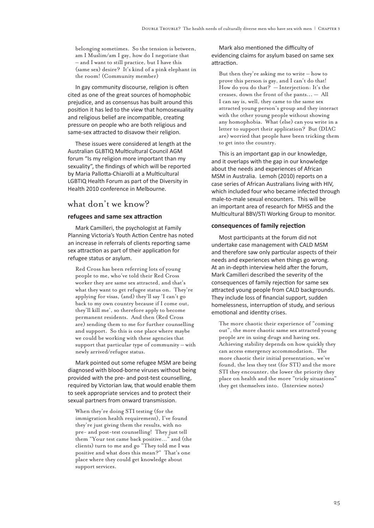belonging sometimes. So the tension is between, am I Muslim/am I gay, how do I negotiate that – and I want to still practice, but I have this (same sex) desire? It's kind of a pink elephant in the room! (Community member)

In gay community discourse, religion is often cited as one of the great sources of homophobic prejudice, and as consensus has built around this position it has led to the view that homosexuality and religious belief are incompatible, creating pressure on people who are both religious and same-sex attracted to disavow their religion.

These issues were considered at length at the Australian GLBTIQ Multicultural Council AGM forum "Is my religion more important than my sexuality", the findings of which will be reported by Maria Pallotta-Chiarolli at a Multicultural LGBTIQ Health Forum as part of the Diversity in Health 2010 conference in Melbourne.

## what don't we know?

#### **refugees and same sex attraction**

Mark Camilleri, the psychologist at Family Planning Victoria's Youth Action Centre has noted an increase in referrals of clients reporting same sex attraction as part of their application for refugee status or asylum.

Red Cross has been referring lots of young people to me, who've told their Red Cross worker they are same sex attracted, and that's what they want to get refugee status on. They're applying for visas, (and) they'll say 'I can't go back to my own country because if I come out, they'll kill me', so therefore apply to become permanent residents. And then (Red Cross are) sending them to me for further counselling and support. So this is one place where maybe we could be working with these agencies that support that particular type of community – with newly arrived/refugee status.

Mark pointed out some refugee MSM are being diagnosed with blood-borne viruses without being provided with the pre- and post-test counselling, required by Victorian law, that would enable them to seek appropriate services and to protect their sexual partners from onward transmission.

When they're doing STI testing (for the immigration health requirement), I've found they're just giving them the results, with no pre- and post-test counselling! They just tell them "Your test came back positive…" and (the clients) turn to me and go "They told me I was positive and what does this mean?" That's one place where they could get knowledge about support services.

Mark also mentioned the difficulty of evidencing claims for asylum based on same sex attraction.

But then they're asking me to write – how to prove this person is gay, and I can't do that! How do you do that? — Interjection: It's the creases, down the front of the pants... — All I can say is, well, they came to the same sex attracted young person's group and they interact with the other young people without showing any homophobia. What (else) can you write in a letter to support their application? But (DIAC are) worried that people have been tricking them to get into the country.

This is an important gap in our knowledge, and it overlaps with the gap in our knowledge about the needs and experiences of African MSM in Australia. Lemoh (2010) reports on a case series of African Australians living with HIV, which included four who became infected through male-to-male sexual encounters. This will be an important area of research for MHSS and the Multicultural BBV/STI Working Group to monitor.

#### consequences of family rejection

Most participants at the forum did not undertake case management with CALD MSM and therefore saw only particular aspects of their needs and experiences when things go wrong. At an in-depth interview held after the forum, Mark Camilleri described the severity of the consequences of family rejection for same sex attracted young people from CALD backgrounds. They include loss of financial support, sudden homelessness, interruption of study, and serious emotional and identity crises.

The more chaotic their experience of "coming out", the more chaotic same sex attracted young people are in using drugs and having sex. Achieving stability depends on how quickly they can access emergency accommodation. The more chaotic their initial presentation, we've found, the less they test (for STI) and the more STI they encounter, the lower the priority they place on health and the more "tricky situations" they get themselves into. (Interview notes)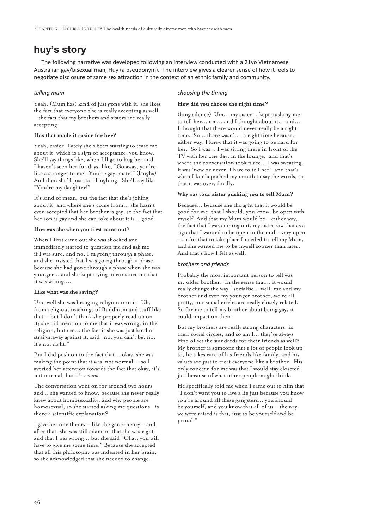# **huy's story**

The following narrative was developed following an interview conducted with a 21yo Vietnamese Australian gay/bisexual man, Huy (a pseudonym). The interview gives a clearer sense of how it feels to negotiate disclosure of same sex attraction in the context of an ethnic family and community.

#### *telling mum*

Yeah, (Mum has) kind of just gone with it, she likes the fact that everyone else is really accepting as well – the fact that my brothers and sisters are really accepting.

#### **Has that made it easier for her?**

Yeah, easier. Lately she's been starting to tease me about it, which is a sign of acceptance, you know. She'll say things like, when I'll go to hug her and I haven't seen her for days, like, "Go away, you're like a stranger to me! You're gay, mate!" (laughs) And then she'll just start laughing. She'll say like "You're my daughter!"

It's kind of mean, but the fact that she's joking about it, and where she's come from… she hasn't even accepted that her brother is gay, so the fact that her son is gay and she can joke about it is… good.

#### **How was she when you first came out?**

When I first came out she was shocked and immediately started to question me and ask me if I was sure, and no, I'm going through a phase, and she insisted that I was going through a phase, because she had gone through a phase when she was younger… and she kept trying to convince me that it was wrong....

#### **Like what was she saying?**

Um, well she was bringing religion into it. Uh, from religious teachings of Buddhism and stuff like that… but I don't think she properly read up on it; she did mention to me that it was wrong, in the religion, but um… the fact is she was just kind of straightaway against it, said "no, you can't be, no, it's not right."

But I did push on to the fact that... okay, she was making the point that it was 'not normal' – so I averted her attention towards the fact that okay, it's not normal, but it's *natural.* 

The conversation went on for around two hours and… she wanted to know, because she never really knew about homosexuality, and why people are homosexual, so she started asking me questions: is there a scientific explanation?

I gave her one theory – like the gene theory – and after that, she was still adamant that she was right and that I was wrong… but she said "Okay, you will have to give me some time." Because she accepted that all this philosophy was indented in her brain, so she acknowledged that she needed to change.

#### choosing the timing

#### **How did you choose the right time?**

(long silence) Um… my sister… kept pushing me to tell her… um… and I thought about it… and… I thought that there would never really be a right time. So… there wasn't… a right time because, either way, I knew that it was going to be hard for her. So I was… I was sitting there in front of the TV with her one day, in the lounge, and that's where the conversation took place… I was sweating, it was 'now or never, I have to tell her', and that's when I kinda pushed my mouth to say the words, so that it was over, finally.

#### **Why was your sister pushing you to tell Mum?**

Because… because she thought that it would be good for me, that I should, you know, be open with myself. And that my Mum would be – either way, the fact that I was coming out, my sister saw that as a sign that I wanted to be open in the end – very open – so for that to take place I needed to tell my Mum, and she wanted me to be myself sooner than later. And that's how I felt as well.

#### *brothers and friends*

Probably the most important person to tell was my older brother. In the sense that… it would really change the way I socialise… well, me and my brother and even my younger brother, we're all pretty, our social circles are really closely related. So for me to tell my brother about being gay, it could impact on them.

But my brothers are really strong characters, in their social circles, and so am I… they've always kind of set the standards for their friends as well? My brother is someone that a lot of people look up to, he takes care of his friends like family, and his values are just to treat everyone like a brother. His only concern for me was that I would stay closeted just because of what other people might think.

He specifically told me when I came out to him that "I don't want you to live a lie just because you know you're around all these gangsters… you should be yourself, and you know that all of us – the way we were raised is that, just to be yourself and be proud."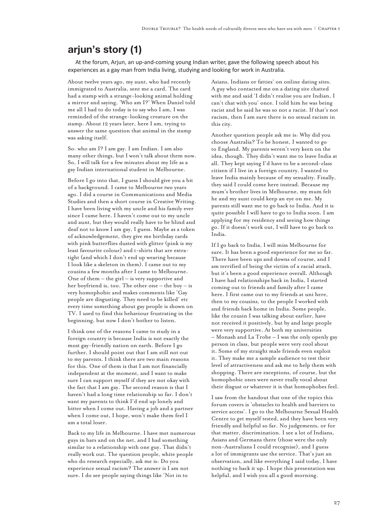## **arjun's story (1)**

At the forum, Arjun, an up-and-coming young Indian writer, gave the following speech about his experiences as a gay man from India living, studying and looking for work in Australia.

About twelve years ago, my aunt, who had recently immigrated to Australia, sent me a card. The card had a stamp with a strange-looking animal holding a mirror and saying, 'Who am I?' When Daniel told me all I had to do today is to say who I am, I was reminded of the strange-looking creature on the stamp. About 12 years later, here I am, trying to answer the same question that animal in the stamp was asking itself.

So: who am I? I am gay. I am Indian. I am also many other things, but I won't talk about them now. So, I will talk for a few minutes about my life as a gay Indian international student in Melbourne.

Before I go into that, I guess I should give you a bit of a background. I came to Melbourne two years ago. I did a course in Communications and Media Studies and then a short course in Creative Writing. I have been living with my uncle and his family ever since I came here. I haven't come out to my uncle and aunt, but they would really have to be blind and deaf not to know I am gay, I guess. Maybe as a token of acknowledgement, they give me birthday cards with pink butterflies dusted with glitter (pink is my least favourite colour) and t-shirts that are extratight (and which I don't end up wearing because I look like a skeleton in them). I came out to my cousins a few months after I came to Melbourne. One of them – the girl – is very supportive and her boyfriend is, too. The other one – the boy – is very homophobic and makes comments like 'Gay people are disgusting. They need to be killed' etc every time something about gay people is shown on TV. I used to find this behaviour frustrating in the beginning, but now I don't bother to listen.

I think one of the reasons I came to study in a foreign country is because India is not exactly the most gay-friendly nation on earth. Before I go further, I should point out that I am still not out to my parents. I think there are two main reasons for this. One of them is that I am not financially independent at the moment, and I want to make sure I can support myself if they are not okay with the fact that I am gay. The second reason is that I haven't had a long time relationship so far. I don't want my parents to think I'd end up lonely and bitter when I come out. Having a job and a partner when I come out, I hope, won't make them feel I am a total loser.

Back to my life in Melbourne. I have met numerous guys in bars and on the net, and I had something similar to a relationship with one guy. That didn't really work out. The question people, white people who do research especially, ask me is: Do you experience sexual racism? The answer is I am not sure. I do see people saying things like 'Not in to

Asians, Indians or fatties' on online dating sites. A guy who contacted me on a dating site chatted with me and said 'I didn't realise you are Indian, I can't chat with you' once. I told him he was being racist and he said he was so not a racist. If that's not racism, then I am sure there is no sexual racism in this city.

Another question people ask me is: Why did you choose Australia? To be honest, I wanted to go to England. My parents weren't very keen on the idea, though. They didn't want me to leave India at all. They kept saying I'd have to be a second-class citizen if I live in a foreign country. I wanted to leave India mainly because of my sexuality. Finally, they said I could come here instead. Because my mum's brother lives in Melbourne, my mum felt he and my aunt could keep an eye on me. My parents still want me to go back to India. And it is quite possible I will have to go to India soon. I am applying for my residency and seeing how things go. If it doesn't work out, I will have to go back to India.

If I go back to India, I will miss Melbourne for sure. It has been a good experience for me so far. There have been ups and downs of course, and I am terrified of being the victim of a racial attack, but it's been a good experience overall. Although I have had relationships back in India, I started coming out to friends and family after I came here. I first came out to my friends at uni here, then to my cousins, to the people I worked with and friends back home in India. Some people, like the cousin I was talking about earlier, have not received it positively, but by and large people were very supportive. At both my universities – Monash and La Trobe – I was the only openly gay person in class, but people were very cool about it. Some of my straight male friends even exploit it. They make me a sample audience to test their level of attractiveness and ask me to help them with shopping. There are exceptions, of course, but the homophobic ones were never really vocal about their disgust or whatever it is that homophobes feel.

I saw from the handout that one of the topics this forum covers is 'obstacles to health and barriers to service access'. I go to the Melbourne Sexual Health Centre to get myself tested, and they have been very friendly and helpful so far. No judgements, or for that matter, discrimination. I see a lot of Indians, Asians and Germans there (those were the only non-Australians I could recognise), and I guess a lot of immigrants use the service. That's just an observation, and like everything I said today, I have nothing to back it up. I hope this presentation was helpful, and I wish you all a good morning.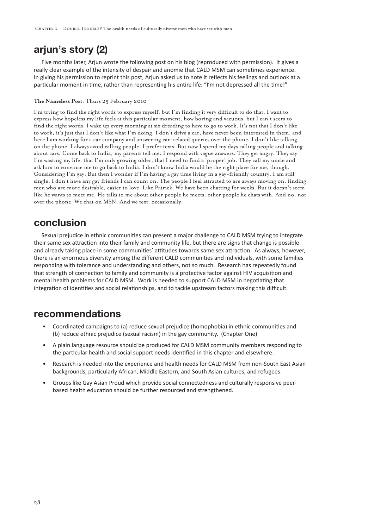# **arjun's story (2)**

Five months later, Arjun wrote the following post on his blog (reproduced with permission). It gives a really clear example of the intensity of despair and anomie that CALD MSM can sometimes experience. In giving his permission to reprint this post, Arjun asked us to note it reflects his feelings and outlook at a particular moment in time, rather than representing his entire life: "I'm not depressed all the time!"

#### **The Nameless Post**, Thurs 25 February 2010

I'm trying to find the right words to express myself, but I'm finding it very difficult to do that. I want to express how hopeless my life feels at this particular moment, how boring and vacuous, but I can't seem to find the right words. I wake up every morning at six dreading to have to go to work. It's not that I don't like to work; it's just that I don't like what I'm doing. I don't drive a car, have never been interested in them, and here I am working for a car company and answering car-related queries over the phone. I don't like talking on the phone. I always avoid calling people. I prefer texts. But now I spend my days calling people and talking about cars. Come back to India, my parents tell me. I respond with vague answers. They get angry. They say I'm wasting my life, that I'm only growing older, that I need to find a 'proper' job. They call my uncle and ask him to convince me to go back to India. I don't know India would be the right place for me, though. Considering I'm gay. But then I wonder if I'm having a gay time living in a gay-friendly country. I am still single. I don't have any gay friends I can count on. The people I feel attracted to are always moving on, finding men who are more desirable, easier to love. Like Patrick. We have been chatting for weeks. But it doesn't seem like he wants to meet me. He talks to me about other people he meets, other people he chats with. And no, not over the phone. We chat on MSN. And we text, occasionally.

## **conclusion**

Sexual prejudice in ethnic communities can present a major challenge to CALD MSM trying to integrate their same sex attraction into their family and community life, but there are signs that change is possible and already taking place in some communities' attitudes towards same sex attraction. As always, however, there is an enormous diversity among the different CALD communities and individuals, with some families responding with tolerance and understanding and others, not so much. Research has repeatedly found that strength of connection to family and community is a protective factor against HIV acquisition and mental health problems for CALD MSM. Work is needed to support CALD MSM in negotiating that integration of identities and social relationships, and to tackle upstream factors making this difficult.

## **recommendations**

- Coordinated campaigns to (a) reduce sexual prejudice (homophobia) in ethnic communities and (b) reduce ethnic prejudice (sexual racism) in the gay community. (Chapter One)
- A plain language resource should be produced for CALD MSM community members responding to the particular health and social support needs identified in this chapter and elsewhere.
- Research is needed into the experience and health needs for CALD MSM from non-South East Asian backgrounds, particularly African, Middle Eastern, and South Asian cultures, and refugees.
- Groups like Gay Asian Proud which provide social connectedness and culturally responsive peerbased health education should be further resourced and strengthened.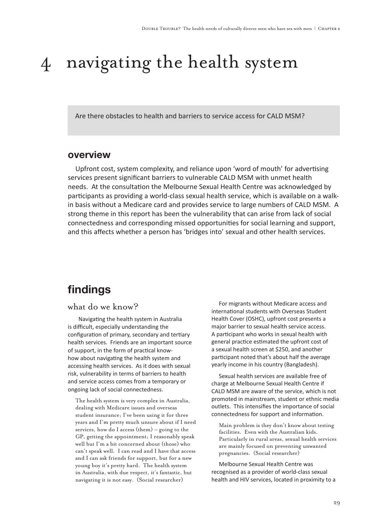# 4 navigating the health system

Are there obstacles to health and barriers to service access for CALD MSM?

## **overview**

Upfront cost, system complexity, and reliance upon 'word of mouth' for advertising services present significant barriers to vulnerable CALD MSM with unmet health needs. At the consultation the Melbourne Sexual Health Centre was acknowledged by participants as providing a world-class sexual health service, which is available on a walkin basis without a Medicare card and provides service to large numbers of CALD MSM. A strong theme in this report has been the vulnerability that can arise from lack of social connectedness and corresponding missed opportunities for social learning and support, and this affects whether a person has 'bridges into' sexual and other health services.

# **fi ndings**

### what do we know?

Navigating the health system in Australia is difficult, especially understanding the configuration of primary, secondary and tertiary health services. Friends are an important source of support, in the form of practical knowhow about navigating the health system and accessing health services. As it does with sexual risk, vulnerability in terms of barriers to health and service access comes from a temporary or ongoing lack of social connectedness.

The health system is very complex in Australia, dealing with Medicare issues and overseas student insurance; I've been using it for three years and I'm pretty much unsure about if I need services, how do I access (them) – going to the GP, getting the appointment; I reasonably speak well but I'm a bit concerned about (those) who can't speak well. I can read and I have that access and I can ask friends for support, but for a new young boy it's pretty hard. The health system in Australia, with due respect, it's fantastic, but navigating it is not easy. (Social researcher)

For migrants without Medicare access and international students with Overseas Student Health Cover (OSHC), upfront cost presents a major barrier to sexual health service access. A participant who works in sexual health with general practice estimated the upfront cost of a sexual health screen at \$250, and another participant noted that's about half the average yearly income in his country (Bangladesh).

Sexual health services are available free of charge at Melbourne Sexual Health Centre if CALD MSM are aware of the service, which is not promoted in mainstream, student or ethnic media outlets. This intensifies the importance of social connectedness for support and information.

Main problem is they don't know about testing facilities. Even with the Australian kids. Particularly in rural areas, sexual health services are mainly focused on preventing unwanted pregnancies. (Social researcher)

Melbourne Sexual Health Centre was recognised as a provider of world-class sexual health and HIV services, located in proximity to a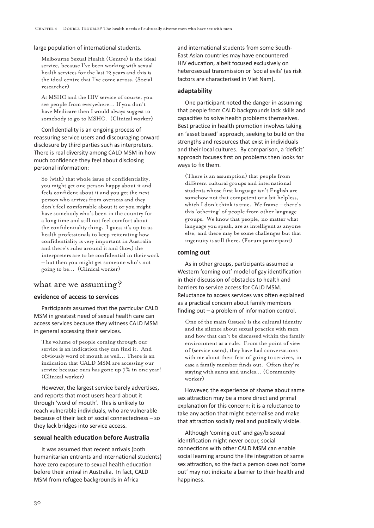large population of international students.

Melbourne Sexual Health (Centre) is the ideal service, because I've been working with sexual health services for the last 12 years and this is the ideal centre that I've come across. (Social researcher)

At MSHC and the HIV service of course, you see people from everywhere… If you don't have Medicare then I would always suggest to somebody to go to MSHC. (Clinical worker)

Confidentiality is an ongoing process of reassuring service users and discouraging onward disclosure by third parties such as interpreters. There is real diversity among CALD MSM in how much confidence they feel about disclosing personal information:

So (with) that whole issue of confidentiality, you might get one person happy about it and feels confident about it and you get the next person who arrives from overseas and they don't feel comfortable about it or you might have somebody who's been in the country for a long time and still not feel comfort about the confidentiality thing. I guess it's up to us health professionals to keep reiterating how confidentiality is very important in Australia and there's rules around it and (how) the interpreters are to be confidential in their work – but then you might get someone who's not going to be… (Clinical worker)

#### what are we assuming?

#### **evidence of access to services**

Participants assumed that the particular CALD MSM in greatest need of sexual health care can access services because they witness CALD MSM in general accessing their services.

The volume of people coming through our service is an indication they can find it. And obviously word of mouth as well… There is an indication that CALD MSM are accessing our service because ours has gone up 7% in one year! (Clinical worker)

However, the largest service barely advertises, and reports that most users heard about it through 'word of mouth'. This is unlikely to reach vulnerable individuals, who are vulnerable because of their lack of social connectedness – so they lack bridges into service access.

#### **sexual health education before Australia**

It was assumed that recent arrivals (both humanitarian entrants and international students) have zero exposure to sexual health education before their arrival in Australia. In fact, CALD MSM from refugee backgrounds in Africa

and international students from some South-East Asian countries may have encountered HIV education, albeit focused exclusively on heterosexual transmission or 'social evils' (as risk factors are characterised in Viet Nam).

#### **adaptability**

One participant noted the danger in assuming that people from CALD backgrounds lack skills and capacities to solve health problems themselves. Best practice in health promotion involves taking an 'asset based' approach, seeking to build on the strengths and resources that exist in individuals and their local cultures. By comparison, a 'deficit' approach focuses first on problems then looks for ways to fix them.

(There is an assumption) that people from different cultural groups and international students whose first language isn't English are somehow not that competent or a bit helpless, which I don't think is true. We frame – there's this 'othering' of people from other language groups. We know that people, no matter what language you speak, are as intelligent as anyone else, and there may be some challenges but that ingenuity is still there. (Forum participant)

#### **coming out**

As in other groups, participants assumed a Western 'coming out' model of gay identification in their discussion of obstacles to health and barriers to service access for CALD MSM. Reluctance to access services was often explained as a practical concern about family members finding out  $-$  a problem of information control.

One of the main (issues) is the cultural identity and the silence about sexual practice with men and how that can't be discussed within the family environment as a rule. From the point of view of (service users), they have had conversations with me about their fear of going to services, in case a family member finds out. Often they're staying with aunts and uncles… (Community worker)

However, the experience of shame about same sex attraction may be a more direct and primal explanation for this concern: it is a reluctance to take any action that might externalise and make that attraction socially real and publically visible.

Although 'coming out' and gay/bisexual identification might never occur, social connections with other CALD MSM can enable social learning around the life integration of same sex attraction, so the fact a person does not 'come out' may not indicate a barrier to their health and happiness.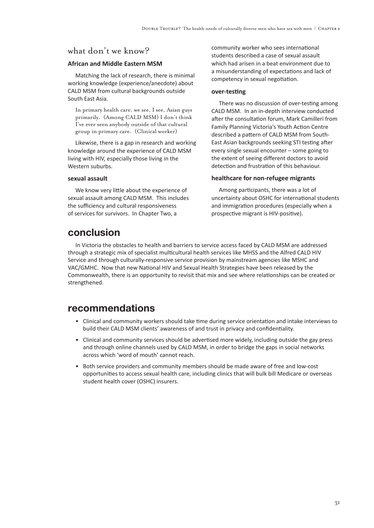## what don't we know?

#### **African and Middle Eastern MSM**

Matching the lack of research, there is minimal working knowledge (experience/anecdote) about CALD MSM from cultural backgrounds outside South East Asia.

In primary health care, we see, I see, Asian guys primarily. (Among CALD MSM) I don't think I've ever seen anybody outside of that cultural group in primary care. (Clinical worker)

Likewise, there is a gap in research and working knowledge around the experience of CALD MSM living with HIV, especially those living in the Western suburbs.

#### **sexual assault**

We know very little about the experience of sexual assault among CALD MSM. This includes the sufficiency and cultural responsiveness of services for survivors. In Chapter Two, a

**conclusion**

community worker who sees international students described a case of sexual assault which had arisen in a beat environment due to a misunderstanding of expectations and lack of competency in sexual negotiation.

#### **over-testing**

There was no discussion of over-testing among CALD MSM. In an in-depth interview conducted after the consultation forum, Mark Camilleri from Family Planning Victoria's Youth Action Centre described a pattern of CALD MSM from South-East Asian backgrounds seeking STI testing after every single sexual encounter – some going to the extent of seeing different doctors to avoid detection and frustration of this behaviour.

#### **healthcare for non-refugee migrants**

Among participants, there was a lot of uncertainty about OSHC for international students and immigration procedures (especially when a prospective migrant is HIV-positive).

In Victoria the obstacles to health and barriers to service access faced by CALD MSM are addressed through a strategic mix of specialist multicultural health services like MHSS and the Alfred CALD HIV Service and through culturally-responsive service provision by mainstream agencies like MSHC and VAC/GMHC. Now that new National HIV and Sexual Health Strategies have been released by the Commonwealth, there is an opportunity to revisit that mix and see where relationships can be created or strengthened.

## **recommendations**

- Clinical and community workers should take time during service orientation and intake interviews to build their CALD MSM clients' awareness of and trust in privacy and confidentiality.
- Clinical and community services should be advertised more widely, including outside the gay press and through online channels used by CALD MSM, in order to bridge the gaps in social networks across which 'word of mouth' cannot reach.
- Both service providers and community members should be made aware of free and low-cost opportunities to access sexual health care, including clinics that will bulk bill Medicare or overseas student health cover (OSHC) insurers.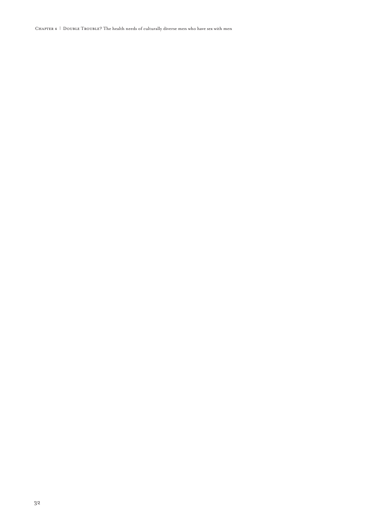Chapter 4 | Double Trouble? The health needs of culturally diverse men who have sex with men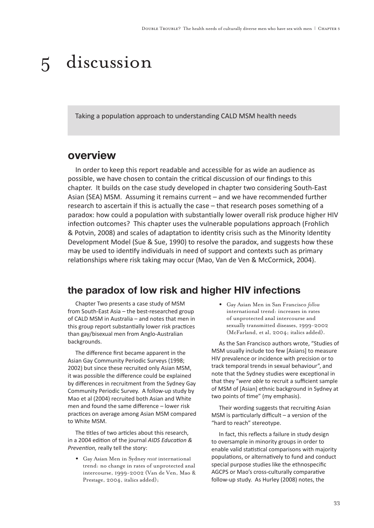# 5 discussion

Taking a population approach to understanding CALD MSM health needs

# **overview**

In order to keep this report readable and accessible for as wide an audience as possible, we have chosen to contain the critical discussion of our findings to this chapter. It builds on the case study developed in chapter two considering South-East Asian (SEA) MSM. Assuming it remains current – and we have recommended further research to ascertain if this is actually the case – that research poses something of a paradox: how could a population with substantially lower overall risk produce higher HIV infection outcomes? This chapter uses the vulnerable populations approach (Frohlich & Potvin, 2008) and scales of adaptation to identity crisis such as the Minority Identity Development Model (Sue & Sue, 1990) to resolve the paradox, and suggests how these may be used to identify individuals in need of support and contexts such as primary relationships where risk taking may occur (Mao, Van de Ven & McCormick, 2004).

# **the paradox of low risk and higher HIV infections**

Chapter Two presents a case study of MSM from South-East Asia – the best-researched group of CALD MSM in Australia – and notes that men in this group report substantially lower risk practices than gay/bisexual men from Anglo-Australian backgrounds.

The difference first became apparent in the Asian Gay Community Periodic Surveys (1998; 2002) but since these recruited only Asian MSM, it was possible the difference could be explained by differences in recruitment from the Sydney Gay Community Periodic Survey. A follow-up study by Mao et al (2004) recruited both Asian and White men and found the same difference  $-$  lower risk practices on average among Asian MSM compared to White MSM.

The titles of two articles about this research, in a 2004 edition of the journal *AIDS Education &* Prevention, really tell the story:

• Gay Asian Men in Sydney *resist* international trend: no change in rates of unprotected anal intercourse, 1999-2002 (Van de Ven, Mao & Prestage, 2004, italics added);

• Gay Asian Men in San Francisco *follow* international trend: increases in rates of unprotected anal intercourse and sexually transmitted diseases, 1999-2002 (McFarland, et al, 2004; italics added).

As the San Francisco authors wrote, "Studies of MSM usually include too few [Asians] to measure HIV prevalence or incidence with precision or to track temporal trends in sexual behaviour", and note that the Sydney studies were exceptional in that they "were able to recruit a sufficient sample of MSM of [Asian] ethnic background in Sydney at two points of time" (my emphasis).

Their wording suggests that recruiting Asian MSM is particularly difficult – a version of the "hard to reach" stereotype.

In fact, this reflects a failure in study design to oversample in minority groups in order to enable valid statistical comparisons with majority populations, or alternatively to fund and conduct special purpose studies like the ethnospecific AGCPS or Mao's cross-culturally comparative follow-up study. As Hurley (2008) notes, the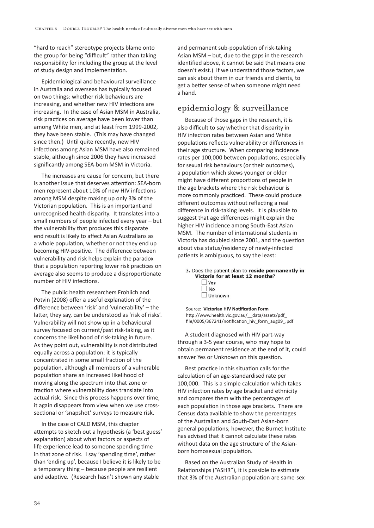"hard to reach" stereotype projects blame onto the group for being "difficult" rather than taking responsibility for including the group at the level of study design and implementation.

Epidemiological and behavioural surveillance in Australia and overseas has typically focused on two things: whether risk behaviours are increasing, and whether new HIV infections are increasing. In the case of Asian MSM in Australia, risk practices on average have been lower than among White men, and at least from 1999-2002, they have been stable. (This may have changed since then.) Until quite recently, new HIV infections among Asian MSM have also remained stable, although since 2006 they have increased significantly among SEA-born MSM in Victoria.

The increases are cause for concern, but there is another issue that deserves attention: SEA-born men represent about 10% of new HIV infections among MSM despite making up only 3% of the Victorian population. This is an important and unrecognised health disparity. It translates into a small numbers of people infected every year – but the vulnerability that produces this disparate end result is likely to affect Asian Australians as a whole population, whether or not they end up becoming HIV-positive. The difference between vulnerability and risk helps explain the paradox that a population reporting lower risk practices on average also seems to produce a disproportionate number of HIV infections.

The public health researchers Frohlich and Potvin (2008) offer a useful explanation of the difference between 'risk' and 'vulnerability' – the latter, they say, can be understood as 'risk of risks'. Vulnerability will not show up in a behavioural survey focused on current/past risk-taking, as it concerns the likelihood of risk-taking in future. As they point out, vulnerability is not distributed equally across a population: it is typically concentrated in some small fraction of the population, although all members of a vulnerable population share an increased likelihood of moving along the spectrum into that zone or fraction where vulnerability does translate into actual risk. Since this process happens over time, it again disappears from view when we use crosssectional or 'snapshot' surveys to measure risk.

In the case of CALD MSM, this chapter attempts to sketch out a hypothesis (a 'best guess' explanation) about what factors or aspects of life experience lead to someone spending time in that zone of risk. I say 'spending time', rather than 'ending up', because I believe it is likely to be a temporary thing – because people are resilient and adaptive. (Research hasn't shown any stable

and permanent sub-population of risk-taking Asian MSM – but, due to the gaps in the research identified above, it cannot be said that means one doesn't exist.) If we understand those factors, we can ask about them in our friends and clients, to get a better sense of when someone might need a hand.

## epidemiology & surveillance

Because of those gaps in the research, it is also difficult to say whether that disparity in HIV infection rates between Asian and White populations reflects vulnerability or differences in their age structure. When comparing incidence rates per 100,000 between populations, especially for sexual risk behaviours (or their outcomes), a population which skews younger or older might have different proportions of people in the age brackets where the risk behaviour is more commonly practiced. These could produce different outcomes without reflecting a real difference in risk-taking levels. It is plausible to suggest that age differences might explain the higher HIV incidence among South-East Asian MSM. The number of international students in Victoria has doubled since 2001, and the question about visa status/residency of newly-infected patients is ambiguous, to say the least:

3. Does the patient plan to reside permanently in Victoria for at least 12 months?

| $V_{AC}$                    |
|-----------------------------|
| $\overline{\phantom{0}}$ No |
| Unknown                     |

Source: Victorian HIV Notification Form http://www.health.vic.gov.au/ data/assets/pdf file/0005/367241/notification\_hiv\_form\_aug09\_.pdf

A student diagnosed with HIV part-way through a 3-5 year course, who may hope to obtain permanent residence at the end of it, could answer Yes or Unknown on this question.

Best practice in this situation calls for the calculation of an age-standardised rate per 100,000. This is a simple calculation which takes HIV infection rates by age bracket and ethnicity and compares them with the percentages of each population in those age brackets. There are Census data available to show the percentages of the Australian and South-East Asian-born general populations; however, the Burnet Institute has advised that it cannot calculate these rates without data on the age structure of the Asianborn homosexual population.

Based on the Australian Study of Health in Relationships ("ASHR"), it is possible to estimate that 3% of the Australian population are same-sex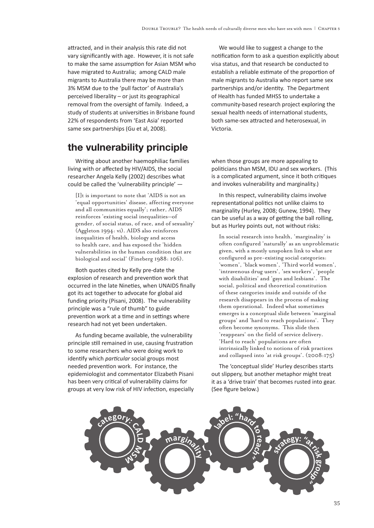attracted, and in their analysis this rate did not vary significantly with age. However, it is not safe to make the same assumption for Asian MSM who have migrated to Australia; among CALD male migrants to Australia there may be more than 3% MSM due to the 'pull factor' of Australia's perceived liberality – or just its geographical removal from the oversight of family. Indeed, a study of students at universities in Brisbane found 22% of respondents from 'East Asia' reported same sex partnerships (Gu et al, 2008).

## **the vulnerability principle**

Writing about another haemophiliac families living with or affected by HIV/AIDS, the social researcher Angela Kelly (2002) describes what could be called the 'vulnerability principle' —

[I]t is important to note that 'AIDS is not an 'equal opportunities' disease, affecting everyone and all communities equally'; rather, AIDS reinforces 'existing social inequalities—of gender, of social status, of race, and of sexuality' (Aggleton 1994: vi). AIDS also reinforces inequalities of health, biology and access to health care, and has exposed the 'hidden vulnerabilities in the human condition that are biological and social' (Fineberg 1988: 106).

Both quotes cited by Kelly pre-date the explosion of research and prevention work that occurred in the late Nineties, when UNAIDS finally got its act together to advocate for global aid funding priority (Pisani, 2008). The vulnerability principle was a "rule of thumb" to guide prevention work at a time and in settings where research had not yet been undertaken.

As funding became available, the vulnerability principle still remained in use, causing frustration to some researchers who were doing work to identify which *particular* social groups most needed prevention work. For instance, the epidemiologist and commentator Elizabeth Pisani has been very critical of vulnerability claims for groups at very low risk of HIV infection, especially

We would like to suggest a change to the notification form to ask a question explicitly about visa status, and that research be conducted to establish a reliable estimate of the proportion of male migrants to Australia who report same sex partnerships and/or identity. The Department of Health has funded MHSS to undertake a community-based research project exploring the sexual health needs of international students, both same-sex attracted and heterosexual, in Victoria.

when those groups are more appealing to politicians than MSM, IDU and sex workers. (This is a complicated argument, since it both critiques and invokes vulnerability and marginality.)

In this respect, vulnerability claims involve representational politics not unlike claims to marginality (Hurley, 2008; Gunew, 1994). They can be useful as a way of getting the ball rolling. but as Hurley points out, not without risks:

In social research into health, 'marginality' is often configured 'naturally' as an unproblematic given, with a mostly unspoken link to what are configured as pre-existing social categories: 'women', 'black women', 'Third world women', 'intravenous drug users', 'sex workers', 'people with disabilities' and 'gays and lesbians'. The social, political and theoretical constitution of these categories inside and outside of the research disappears in the process of making them operational. Indeed what sometimes emerges is a conceptual slide between 'marginal groups' and 'hard to reach populations'. They often become synonyms. This slide then 'reappears' on the field of service delivery. 'Hard to reach' populations are often intrinsically linked to notions of risk practices and collapsed into 'at risk groups'. (2008:175)

The 'conceptual slide' Hurley describes starts out slippery, but another metaphor might treat it as a 'drive train' that becomes rusted into gear. (See figure below.)

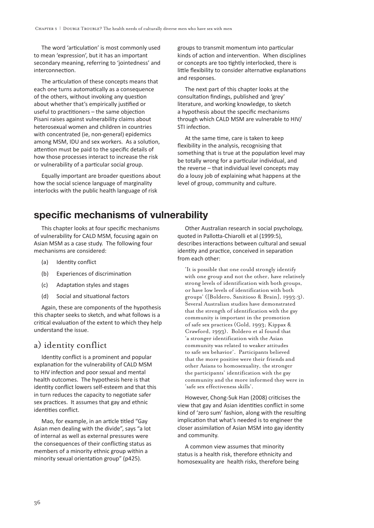The word 'articulation' is most commonly used to mean 'expression', but it has an important secondary meaning, referring to 'jointedness' and interconnection.

The articulation of these concepts means that each one turns automatically as a consequence of the others, without invoking any question about whether that's empirically justified or useful to practitioners  $-$  the same objection Pisani raises against vulnerability claims about heterosexual women and children in countries with concentrated (ie, non-general) epidemics among MSM, IDU and sex workers. As a solution, attention must be paid to the specific details of how those processes interact to increase the risk or vulnerability of a particular social group.

Equally important are broader questions about how the social science language of marginality interlocks with the public health language of risk

groups to transmit momentum into particular kinds of action and intervention. When disciplines or concepts are too tightly interlocked, there is little flexibility to consider alternative explanations and responses.

The next part of this chapter looks at the consultation findings, published and 'grey' literature, and working knowledge, to sketch a hypothesis about the specific mechanisms through which CALD MSM are vulnerable to HIV/ STI infection

At the same time, care is taken to keep flexibility in the analysis, recognising that something that is true at the population level may be totally wrong for a particular individual, and the reverse – that individual level concepts may do a lousy job of explaining what happens at the level of group, community and culture.

## specific mechanisms of vulnerability

This chapter looks at four specific mechanisms of vulnerability for CALD MSM, focusing again on Asian MSM as a case study. The following four mechanisms are considered:

- (a) Identity conflict
- (b) Experiences of discrimination
- (c) Adaptation styles and stages
- (d) Social and situational factors

Again, these are components of the hypothesis this chapter seeks to sketch, and what follows is a critical evaluation of the extent to which they help understand the issue.

### a) identity conflict

Identity conflict is a prominent and popular explanation for the vulnerability of CALD MSM to HIV infection and poor sexual and mental health outcomes. The hypothesis here is that identity conflict lowers self-esteem and that this in turn reduces the capacity to negotiate safer sex practices. It assumes that gay and ethnic identities conflict.

Mao, for example, in an article titled "Gay Asian men dealing with the divide", says "a lot of internal as well as external pressures were the consequences of their conflicting status as members of a minority ethnic group within a minority sexual orientation group" (p425).

Other Australian research in social psychology, quoted in Pallotta-Chiarolli et al (1999:5), describes interactions between cultural and sexual identity and practice, conceived in separation from each other:

'It is possible that one could strongly identify with one group and not the other, have relatively strong levels of identification with both groups, or have low levels of identification with both groups' ([Boldero, Sanitioso & Brain], 1993:3). Several Australian studies have demonstrated that the strength of identification with the gay community is important in the promotion of safe sex practices (Gold, 1993; Kippax & Crawford, 1993). Boldero et al found that 'a stronger identification with the Asian community was related to weaker attitudes to safe sex behavior'. Participants believed that the more positive were their friends and other Asians to homosexuality, the stronger the participants' identification with the gay community and the more informed they were in 'safe sex effectiveness skills'.

However, Chong-Suk Han (2008) criticises the view that gay and Asian identities conflict in some kind of 'zero sum' fashion, along with the resulting implication that what's needed is to engineer the closer assimilation of Asian MSM into gay identity and community.

A common view assumes that minority status is a health risk, therefore ethnicity and homosexuality are health risks, therefore being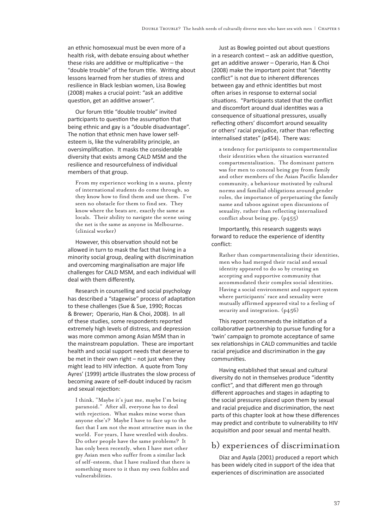an ethnic homosexual must be even more of a health risk, with debate ensuing about whether these risks are additive or multiplicative  $-$  the "double trouble" of the forum title. Writing about lessons learned from her studies of stress and resilience in Black lesbian women, Lisa Bowleg (2008) makes a crucial point: "ask an additive question, get an additive answer".

Our forum title "double trouble" invited participants to question the assumption that being ethnic and gay is a "double disadvantage". The notion that ethnic men have lower selfesteem is, like the vulnerability principle, an oversimplification. It masks the considerable diversity that exists among CALD MSM and the resilience and resourcefulness of individual members of that group.

From my experience working in a sauna, plenty of international students do come through, so they know how to find them and use them. I've seen no obstacle for them to find sex. They know where the beats are, exactly the same as locals. Their ability to navigate the scene using the net is the same as anyone in Melbourne. (clinical worker)

However, this observation should not be allowed in turn to mask the fact that living in a minority social group, dealing with discrimination and overcoming marginalisation are major life challenges for CALD MSM, and each individual will deal with them differently.

Research in counselling and social psychology has described a "stagewise" process of adaptation to these challenges (Sue & Sue, 1990; Roccas & Brewer; Operario, Han & Choi, 2008). In all of these studies, some respondents reported extremely high levels of distress, and depression was more common among Asian MSM than in the mainstream population. These are important health and social support needs that deserve to be met in their own right – not just when they might lead to HIV infection. A quote from Tony Ayres' (1999) article illustrates the slow process of becoming aware of self-doubt induced by racism and sexual rejection:

I think, "Maybe it's just me, maybe I'm being paranoid." After all, everyone has to deal with rejection. What makes mine worse than anyone else's? Maybe I have to face up to the fact that I am not the most attractive man in the world. For years, I have wrestled with doubts. Do other people have the same problems? It has only been recently, when I have met other gay Asian men who suffer from a similar lack of self-esteem, that I have realized that there is something more to it than my own foibles and vulnerabilities.

Just as Bowleg pointed out about questions in a research context  $-$  ask an additive question, get an additive answer - Operario, Han & Choi (2008) make the important point that "identity conflict" is not due to inherent differences between gay and ethnic identities but most often arises in response to external social situations. "Participants stated that the conflict and discomfort around dual identities was a consequence of situational pressures, usually reflecting others' discomfort around sexuality or others' racial prejudice, rather than reflecting internalised states" (p454). There was:

a tendency for participants to compartmentalize their identities when the situation warranted compartmentalization. The dominant pattern was for men to conceal being gay from family and other members of the Asian Pacific Islander community, a behaviour motivated by cultural norms and familial obligations around gender roles, the importance of perpetuating the family name and taboos against open discussions of sexuality, rather than reflecting internalized conflict about being gay. (p455)

Importantly, this research suggests ways forward to reduce the experience of identity conflict:

Rather than compartmentalizing their identities, men who had merged their racial and sexual identity appeared to do so by creating an accepting and supportive community that accommodated their complex social identities. Having a social environment and support system where participants' race and sexuality were mutually affirmed appeared vital to a feeling of security and integration. (p456)

This report recommends the initiation of a collaborative partnership to pursue funding for a 'twin' campaign to promote acceptance of same sex relationships in CALD communities and tackle racial prejudice and discrimination in the gay communities.

Having established that sexual and cultural diversity do not in themselves produce "identity conflict", and that different men go through different approaches and stages in adapting to the social pressures placed upon them by sexual and racial prejudice and discrimination, the next parts of this chapter look at how these differences may predict and contribute to vulnerability to HIV acquisition and poor sexual and mental health.

## b) experiences of discrimination

Díaz and Ayala (2001) produced a report which has been widely cited in support of the idea that experiences of discrimination are associated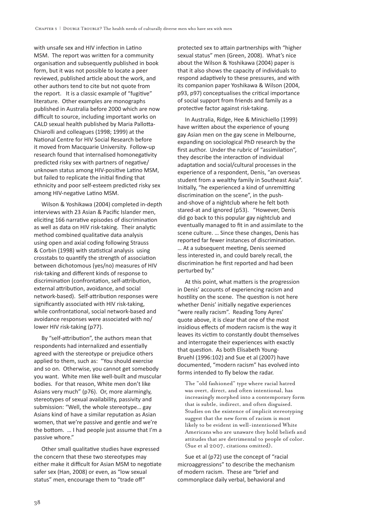with unsafe sex and HIV infection in Latino MSM. The report was written for a community organisation and subsequently published in book form, but it was not possible to locate a peer reviewed, published article about the work, and other authors tend to cite but not quote from the report. It is a classic example of "fugitive" literature. Other examples are monographs published in Australia before 2000 which are now difficult to source, including important works on CALD sexual health published by Maria Pallotta-Chiarolli and colleagues (1998; 1999) at the National Centre for HIV Social Research before it moved from Macquarie University. Follow-up research found that internalised homonegativity predicted risky sex with partners of negative/ unknown status among HIV-positive Latino MSM, but failed to replicate the initial finding that ethnicity and poor self-esteem predicted risky sex among HIV-negative Latino MSM.

Wilson & Yoshikawa (2004) completed in-depth interviews with 23 Asian & Pacific Islander men, eliciting 166 narrative episodes of discrimination as well as data on HIV risk-taking. Their analytic method combined qualitative data analysis using open and axial coding following Strauss & Corbin (1998) with statistical analysis using crosstabs to quantify the strength of association between dichotomous (yes/no) measures of HIV risk-taking and different kinds of response to discrimination (confrontation, self-attribution, external attribution, avoidance, and social network-based). Self-attribution responses were significantly associated with HIV risk-taking, while confrontational, social network-based and avoidance responses were associated with no/ lower HIV risk-taking (p77).

By "self-attribution", the authors mean that respondents had internalized and essentially agreed with the stereotype or prejudice others applied to them, such as: "You should exercise and so on. Otherwise, you cannot get somebody you want. White men like well-built and muscular bodies. For that reason, White men don't like Asians very much" (p76). Or, more alarmingly, stereotypes of sexual availability, passivity and submission: "Well, the whole stereotype… gay Asians kind of have a similar reputation as Asian women, that we're passive and gentle and we're the bottom. ... I had people just assume that I'm a passive whore."

Other small qualitative studies have expressed the concern that these two stereotypes may either make it difficult for Asian MSM to negotiate safer sex (Han, 2008) or even, as "low sexual status" men, encourage them to "trade off"

protected sex to attain partnerships with "higher sexual status" men (Green, 2008). What's nice about the Wilson & Yoshikawa (2004) paper is that it also shows the capacity of individuals to respond adaptively to these pressures, and with its companion paper Yoshikawa & Wilson (2004, p93, p97) conceptualises the critical importance of social support from friends and family as a protective factor against risk-taking.

In Australia, Ridge, Hee & Minichiello (1999) have written about the experience of young gay Asian men on the gay scene in Melbourne, expanding on sociological PhD research by the first author. Under the rubric of "assimilation", they describe the interaction of individual adaptation and social/cultural processes in the experience of a respondent, Denis, "an overseas student from a wealthy family in Southeast Asia". Initially, "he experienced a kind of unremitting discrimination on the scene", in the pushand-shove of a nightclub where he felt both stared-at and ignored (p53). "However, Denis did go back to this popular gay nightclub and eventually managed to fit in and assimilate to the scene culture. … Since these changes, Denis has reported far fewer instances of discrimination. … At a subsequent meeting, Denis seemed less interested in, and could barely recall, the discrimination he first reported and had been perturbed by."

At this point, what matters is the progression in Denis' accounts of experiencing racism and hostility on the scene. The question is not here whether Denis' initially negative experiences "were really racism". Reading Tony Ayres' quote above, it is clear that one of the most insidious effects of modern racism is the way it leaves its victim to constantly doubt themselves and interrogate their experiences with exactly that question. As both Elisabeth Young-Bruehl (1996:102) and Sue et al (2007) have documented, "modern racism" has evolved into forms intended to fly below the radar.

The "old fashioned" type where racial hatred was overt, direct, and often intentional, has increasingly morphed into a contemporary form that is subtle, indirect, and often disguised. Studies on the existence of implicit stereotyping suggest that the new form of racism is most likely to be evident in well-intentioned White Americans who are unaware they hold beliefs and attitudes that are detrimental to people of color. (Sue et al 2007, citations omitted).

Sue et al (p72) use the concept of "racial microaggressions" to describe the mechanism of modern racism. These are "brief and commonplace daily verbal, behavioral and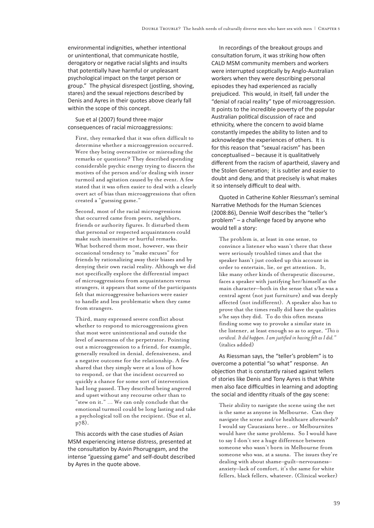environmental indignities, whether intentional or unintentional, that communicate hostile, derogatory or negative racial slights and insults that potentially have harmful or unpleasant psychological impact on the target person or group." The physical disrespect (jostling, shoving, stares) and the sexual rejections described by Denis and Ayres in their quotes above clearly fall within the scope of this concept.

Sue et al (2007) found three major consequences of racial microaggressions:

First, they remarked that it was often difficult to determine whether a microaggression occurred. Were they being oversensitive or misreading the remarks or questions? They described spending considerable psychic energy trying to discern the motives of the person and/or dealing with inner turmoil and agitation caused by the event. A few stated that it was often easier to deal with a clearly overt act of bias than microaggressions that often created a "guessing game."

Second, most of the racial microagressions that occurred came from peers, neighbors, friends or authority figures. It disturbed them that personal or respected acquaintances could make such insensitive or hurtful remarks. What bothered them most, however, was their occasional tendency to "make excuses" for friends by rationalizing away their biases and by denying their own racial reality. Although we did not specifically explore the differential impact of microaggressions from acquaintances versus strangers, it appears that some of the participants felt that microaggressive behaviors were easier to handle and less problematic when they came from strangers.

Third, many expressed severe conflict about whether to respond to microaggressions given that most were unintentional and outside the level of awareness of the perpetrator. Pointing out a microaggression to a friend, for example, generally resulted in denial, defensiveness, and a negative outcome for the relationship. A few shared that they simply were at a loss of how to respond, or that the incident occurred so quickly a chance for some sort of intervention had long passed. They described being angered and upset without any recourse other than to "stew on it." … We can only conclude that the emotional turmoil could be long lasting and take a psychological toll on the recipient. (Sue et al, p78).

This accords with the case studies of Asian MSM experiencing intense distress, presented at the consultation by Asvin Phorugngam, and the intense "guessing game" and self-doubt described by Ayres in the quote above.

In recordings of the breakout groups and consultation forum, it was striking how often CALD MSM community members and workers were interrupted sceptically by Anglo-Australian workers when they were describing personal episodes they had experienced as racially prejudiced. This would, in itself, fall under the "denial of racial reality" type of microaggression. It points to the incredible poverty of the popular Australian political discussion of race and ethnicity, where the concern to avoid blame constantly impedes the ability to listen and to acknowledge the experiences of others. It is for this reason that "sexual racism" has been  $conceptualised - because it is qualitatively$ different from the racism of apartheid, slavery and the Stolen Generation; it is subtler and easier to doubt and deny, and that precisely is what makes it so intensely difficult to deal with.

Quoted in Catherine Kohler Riessman's seminal Narrative Methods for the Human Sciences (2008:86), Dennie Wolf describes the "teller's problem" – a challenge faced by anyone who would tell a story:

The problem is, at least in one sense, to convince a listener who wasn't there that these were seriously troubled times and that the speaker hasn't just cooked up this account in order to entertain, lie, or get attention. It, like many other kinds of therapeutic discourse, faces a speaker with justifying her/himself as the main character—both in the sense that s/he was a central agent (not just furniture) and was deeply affected (not indifferent). A speaker also has to prove that the times really did have the qualities s/he says they did. To do this often means finding some way to provoke a similar state in the listener, at least enough so as to argue, *"This is veridical. It did happen. I am justified in having felt as I did."* (italics added)

As Riessman says, the "teller's problem" is to overcome a potential "so what" response. An objection that is constantly raised against tellers of stories like Denis and Tony Ayres is that White men also face difficulties in learning and adopting the social and identity rituals of the gay scene:

Their ability to navigate the scene using the net is the same as anyone in Melbourne. Can they navigate the scene and/or healthcare afterwards? I would say Caucasians here.. or Melbournites would have the same problems. So I would have to say I don't see a huge difference between someone who wasn't born in Melbourne from someone who was, at a sauna. The issues they're dealing with about shame–guilt–nervousness– anxiety–lack of comfort, it's the same for white fellers, black fellers, whatever. (Clinical worker)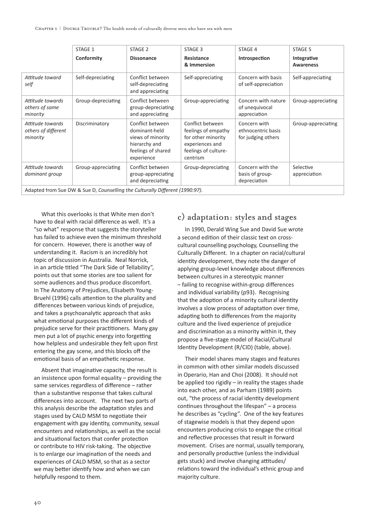|                                                     | STAGE 1                                                                      | STAGE 2                                                                                                     | STAGE 3                                                                                                              | STAGE 4                                                  | STAGE 5                   |
|-----------------------------------------------------|------------------------------------------------------------------------------|-------------------------------------------------------------------------------------------------------------|----------------------------------------------------------------------------------------------------------------------|----------------------------------------------------------|---------------------------|
|                                                     | Conformity                                                                   | <b>Dissonance</b>                                                                                           | Resistance<br>& Immersion                                                                                            | Introspection                                            | Integrative<br>Awareness  |
| Attitude toward<br>self                             | Self-depreciating                                                            | Conflict between<br>self-depreciating<br>and appreciating                                                   | Self-appreciating                                                                                                    | Concern with basis<br>of self-appreciation               | Self-appreciating         |
| Attitude towards<br>others of same<br>minority      | Group-depreciating                                                           | Conflict between<br>group-depreciating<br>and appreciating                                                  | Group-appreciating                                                                                                   | Concern with nature<br>of unequivocal<br>appreciation    | Group-appreciating        |
| Attitude towards<br>others of different<br>minority | Discriminatory                                                               | Conflict between<br>dominant-held<br>views of minority<br>hierarchy and<br>feelings of shared<br>experience | Conflict between<br>feelings of empathy<br>for other minority<br>experiences and<br>feelings of culture-<br>centrism | Concern with<br>ethnocentric basis<br>for judging others | Group-appreciating        |
| Attitude towards<br>dominant group                  | Group-appreciating                                                           | Conflict between<br>group-appreciating<br>and depreciating                                                  | Group-depreciating                                                                                                   | Concern with the<br>basis of group-<br>depreciation      | Selective<br>appreciation |
|                                                     | Adapted from Sue DW & Sue D, Counselling the Culturally Different (1990:97). |                                                                                                             |                                                                                                                      |                                                          |                           |

What this overlooks is that White men don't have to deal with racial difference as well. It's a "so what" response that suggests the storyteller has failed to achieve even the minimum threshold for concern. However, there is another way of understanding it. Racism is an incredibly hot topic of discussion in Australia. Neal Norrick, in an article titled "The Dark Side of Tellability", points out that some stories are too salient for some audiences and thus produce discomfort. In The Anatomy of Prejudices, Elisabeth Young-Bruehl (1996) calls attention to the plurality and differences between various kinds of prejudice, and takes a psychoanalytic approach that asks what emotional purposes the different kinds of prejudice serve for their practitioners. Many gay men put a lot of psychic energy into forgetting how helpless and undesirable they felt upon first entering the gay scene, and this blocks off the emotional basis of an empathetic response.

Absent that imaginative capacity, the result is an insistence upon formal equality – providing the same services regardless of difference  $-$  rather than a substantive response that takes cultural differences into account. The next two parts of this analysis describe the adaptation styles and stages used by CALD MSM to negotiate their engagement with gay identity, community, sexual encounters and relationships, as well as the social and situational factors that confer protection or contribute to HIV risk-taking. The objective is to enlarge our imagination of the needs and experiences of CALD MSM, so that as a sector we may better identify how and when we can helpfully respond to them.

## c) adaptation: styles and stages

In 1990, Derald Wing Sue and David Sue wrote a second edition of their classic text on crosscultural counselling psychology, Counselling the Culturally Different. In a chapter on racial/cultural identity development, they note the danger of applying group-level knowledge about differences between cultures in a stereotypic manner  $-$  failing to recognise within-group differences and individual variability (p93). Recognising that the adoption of a minority cultural identity involves a slow process of adaptation over time. adapting both to differences from the majority culture and the lived experience of prejudice and discrimination as a minority within it, they propose a five-stage model of Racial/Cultural Identity Development (R/CID) (table, above).

Their model shares many stages and features in common with other similar models discussed in Operario, Han and Choi (2008). It should not be applied too rigidly – in reality the stages shade into each other, and as Parham (1989) points out, "the process of racial identity development continues throughout the lifespan" – a process he describes as "cycling". One of the key features of stagewise models is that they depend upon encounters producing crisis to engage the critical and reflective processes that result in forward movement. Crises are normal, usually temporary, and personally productive (unless the individual gets stuck) and involve changing attitudes/ relations toward the individual's ethnic group and majority culture.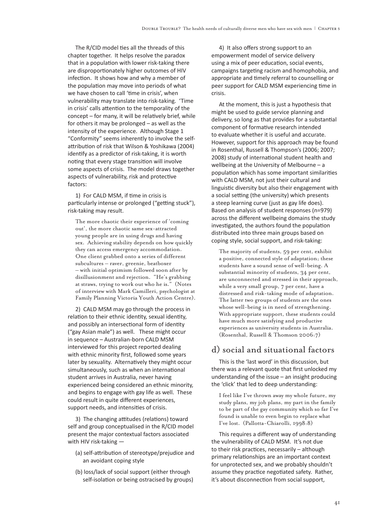The R/CID model ties all the threads of this chapter together. It helps resolve the paradox that in a population with lower risk-taking there are disproportionately higher outcomes of HIV infection. It shows how and why a member of the population may move into periods of what we have chosen to call 'time in crisis', when vulnerability may translate into risk-taking. 'Time in crisis' calls attention to the temporality of the  $concept - for$  many, it will be relatively brief, while for others it may be prolonged – as well as the intensity of the experience. Although Stage 1 "Conformity" seems inherently to involve the selfattribution of risk that Wilson & Yoshikawa (2004) identify as a predictor of risk-taking, it is worth noting that every stage transition will involve some aspects of crisis. The model draws together aspects of vulnerability, risk and protective factors:

1) For CALD MSM, if time in crisis is particularly intense or prolonged ("getting stuck"), risk-taking may result.

The more chaotic their experience of 'coming out', the more chaotic same sex-attracted young people are in using drugs and having sex. Achieving stability depends on how quickly they can access emergency accommodation. One client grabbed onto a series of different subcultures – raver, greenie, beatboxer – with initial optimism followed soon after by disillusionment and rejection. "He's grabbing at straws, trying to work out who he is." (Notes of interview with Mark Camilleri, psychologist at Family Planning Victoria Youth Action Centre).

2) CALD MSM may go through the process in relation to their ethnic identity, sexual identity, and possibly an intersectional form of identity ("gay Asian male") as well. These might occur in sequence – Australian-born CALD MSM interviewed for this project reported dealing with ethnic minority first, followed some years later by sexuality. Alternatively they might occur simultaneously, such as when an international student arrives in Australia, never having experienced being considered an ethnic minority, and begins to engage with gay life as well. These could result in quite different experiences, support needs, and intensities of crisis.

3) The changing attitudes (relations) toward self and group conceptualised in the R/CID model present the major contextual factors associated with HIV risk-taking —

- (a) self-attribution of stereotype/prejudice and an avoidant coping style
- (b) loss/lack of social support (either through self-isolation or being ostracised by groups)

4) It also offers strong support to an empowerment model of service delivery using a mix of peer education, social events, campaigns targeting racism and homophobia, and appropriate and timely referral to counselling or peer support for CALD MSM experiencing time in crisis.

At the moment, this is just a hypothesis that might be used to guide service planning and delivery, so long as that provides for a substantial component of formative research intended to evaluate whether it is useful and accurate. However, support for this approach may be found in Rosenthal, Russell & Thompson's (2006; 2007; 2008) study of international student health and wellbeing at the University of Melbourne – a population which has some important similarities with CALD MSM, not just their cultural and linguistic diversity but also their engagement with a social setting (the university) which presents a steep learning curve (just as gay life does). Based on analysis of student responses (n=979) across the different wellbeing domains the study investigated, the authors found the population distributed into three main groups based on coping style, social support, and risk-taking:

The majority of students, 59 per cent, exhibit a positive, connected style of adaptation; these students have a sound sense of well-being. A substantial minority of students, 34 per cent, are unconnected and stressed in their approach, while a very small group, 7 per cent, have a distressed and risk-taking mode of adaptation. The latter two groups of students are the ones whose well-being is in need of strengthening. With appropriate support, these students could have much more satisfying and productive experiences as university students in Australia. (Rosenthal, Russell & Thomson 2006:7)

## d) social and situational factors

This is the 'last word' in this discussion, but there was a relevant quote that first unlocked my understanding of the issue – an insight producing the 'click' that led to deep understanding:

I feel like I've thrown away my whole future, my study plans, my job plans, my part in the family to be part of the gay community which so far I've found is unable to even begin to replace what I've lost. (Pallotta-Chiarolli, 1998:8)

This requires a different way of understanding the vulnerability of CALD MSM. It's not due to their risk practices, necessarily  $-$  although primary relationships are an important context for unprotected sex, and we probably shouldn't assume they practice negotiated safety. Rather, it's about disconnection from social support,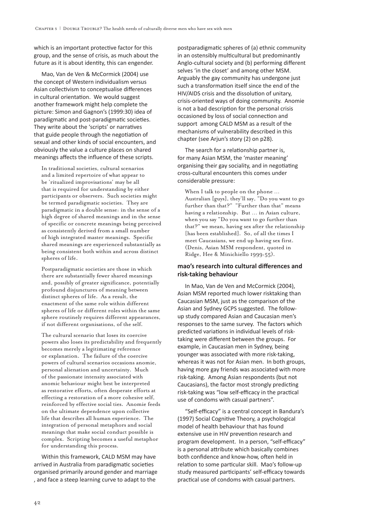which is an important protective factor for this group, and the sense of crisis, as much about the future as it is about identity, this can engender.

Mao, Van de Ven & McCormick (2004) use the concept of Western individualism versus Asian collectivism to conceptualise differences in cultural orientation. We would suggest another framework might help complete the picture: Simon and Gagnon's (1999:30) idea of paradigmatic and post-paradigmatic societies. They write about the 'scripts' or narratives that guide people through the negotiation of sexual and other kinds of social encounters, and obviously the value a culture places on shared meanings affects the influence of these scripts.

In traditional societies, cultural scenarios and a limited repertoire of what appear to be 'ritualized improvisations' may be all that is required for understanding by either participants or observers. Such societies might be termed paradigmatic societies. They are paradigmatic in a double sense: in the sense of a high degree of shared meanings and in the sense of specific or concrete meanings being perceived as consistently derived from a small number of high integrated master meanings. Specific shared meanings are experienced substantially as being consistent both within and across distinct spheres of life.

Postparadigmatic societies are those in which there are substantially fewer shared meanings and, possibly of greater significance, potentially profound disjunctures of meaning between distinct spheres of life. As a result, the enactment of the same role within different spheres of life or different roles within the same sphere routinely requires different appearances, if not different organisations, of the self.

The cultural scenario that loses its coercive powers also loses its predictability and frequently becomes merely a legitimating reference or explanation. The failure of the coercive powers of cultural scenarios occasions anomie, personal alienation and uncertainty. Much of the passionate intensity associated with anomic behaviour might best be interpreted as restorative efforts, often desperate efforts at effecting a restoration of a more cohesive self, reinforced by effective social ties. Anomie feeds on the ultimate dependence upon collective life that describes all human experience. The integration of personal metaphors and social meanings that make social conduct possible is complex. Scripting becomes a useful metaphor for understanding this process.

Within this framework, CALD MSM may have arrived in Australia from paradigmatic societies organised primarily around gender and marriage , and face a steep learning curve to adapt to the

postparadigmatic spheres of (a) ethnic community in an ostensibly multicultural but predominantly Anglo-cultural society and (b) performing different selves 'in the closet' and among other MSM. Arguably the gay community has undergone just such a transformation itself since the end of the HIV/AIDS crisis and the dissolution of unitary, crisis-oriented ways of doing community. Anomie is not a bad description for the personal crisis occasioned by loss of social connection and support among CALD MSM as a result of the mechanisms of vulnerability described in this chapter (see Arjun's story (2) on p28).

The search for a relationship partner is, for many Asian MSM, the 'master meaning' organising their gay sociality, and in negotiating cross-cultural encounters this comes under considerable pressure:

When I talk to people on the phone … Australian [guys], they'll say, "Do you want to go further than that?" "Further than that" means having a relationship. But … in Asian culture, when you say "Do you want to go further than that?" we mean, having sex after the relationship [has been established]. So, of all the times I meet Caucasians, we end up having sex first. (Denis, Asian MSM respondent, quoted in Ridge, Hee & Minichiello 1999:55).

#### mao's research into cultural differences and **risk-taking behaviour**

In Mao, Van de Ven and McCormick (2004), Asian MSM reported much lower risktaking than Caucasian MSM, just as the comparison of the Asian and Sydney GCPS suggested. The followup study compared Asian and Caucasian men's responses to the same survey. The factors which predicted variations in individual levels of risktaking were different between the groups. For example, in Caucasian men in Sydney, being younger was associated with more risk-taking, whereas it was not for Asian men. In both groups, having more gay friends was associated with more risk-taking. Among Asian respondents (but not Caucasians), the factor most strongly predicting risk-taking was "low self-efficacy in the practical use of condoms with casual partners".

"Self-efficacy" is a central concept in Bandura's (1997) Social Cognitive Theory, a psychological model of health behaviour that has found extensive use in HIV prevention research and program development. In a person, "self-efficacy" is a personal attribute which basically combines both confidence and know-how, often held in relation to some particular skill. Mao's follow-up study measured participants' self-efficacy towards practical use of condoms with casual partners.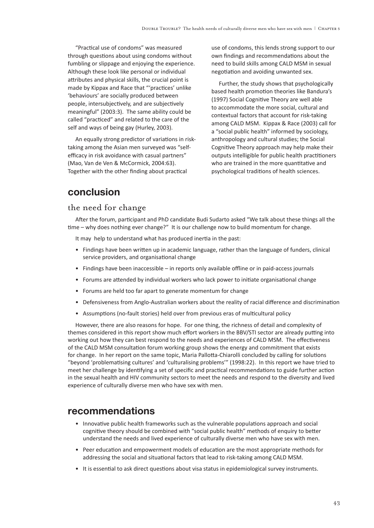"Practical use of condoms" was measured through questions about using condoms without fumbling or slippage and enjoying the experience. Although these look like personal or individual attributes and physical skills, the crucial point is made by Kippax and Race that "'practices' unlike 'behaviours' are socially produced between people, intersubjectively, and are subjectively meaningful" (2003:3). The same ability could be called "practiced" and related to the care of the self and ways of being gay (Hurley, 2003).

An equally strong predictor of variations in risktaking among the Asian men surveyed was "selfefficacy in risk avoidance with casual partners" (Mao, Van de Ven & McCormick, 2004:63). Together with the other finding about practical

use of condoms, this lends strong support to our own findings and recommendations about the need to build skills among CALD MSM in sexual negotiation and avoiding unwanted sex.

Further, the study shows that psychologically based health promotion theories like Bandura's (1997) Social Cognitive Theory are well able to accommodate the more social, cultural and contextual factors that account for risk-taking among CALD MSM. Kippax & Race (2003) call for a "social public health" informed by sociology, anthropology and cultural studies; the Social Cognitive Theory approach may help make their outputs intelligible for public health practitioners who are trained in the more quantitative and psychological traditions of health sciences.

## **conclusion**

### the need for change

After the forum, participant and PhD candidate Budi Sudarto asked "We talk about these things all the time – why does nothing ever change?" It is our challenge now to build momentum for change.

It may help to understand what has produced inertia in the past:

- Findings have been written up in academic language, rather than the language of funders, clinical service providers, and organisational change
- Findings have been inaccessible in reports only available offline or in paid-access journals
- Forums are attended by individual workers who lack power to initiate organisational change
- Forums are held too far apart to generate momentum for change
- Defensiveness from Anglo-Australian workers about the reality of racial difference and discrimination
- Assumptions (no-fault stories) held over from previous eras of multicultural policy

However, there are also reasons for hope. For one thing, the richness of detail and complexity of themes considered in this report show much effort workers in the BBV/STI sector are already putting into working out how they can best respond to the needs and experiences of CALD MSM. The effectiveness of the CALD MSM consultation forum working group shows the energy and commitment that exists for change. In her report on the same topic, Maria Pallotta-Chiarolli concluded by calling for solutions "beyond 'problematising cultures' and 'culturalising problems'" (1998:22). In this report we have tried to meet her challenge by identifying a set of specific and practical recommendations to guide further action in the sexual health and HIV community sectors to meet the needs and respond to the diversity and lived experience of culturally diverse men who have sex with men.

## **recommendations**

- Innovative public health frameworks such as the vulnerable populations approach and social cognitive theory should be combined with "social public health" methods of enquiry to better understand the needs and lived experience of culturally diverse men who have sex with men.
- Peer education and empowerment models of education are the most appropriate methods for addressing the social and situational factors that lead to risk-taking among CALD MSM.
- It is essential to ask direct questions about visa status in epidemiological survey instruments.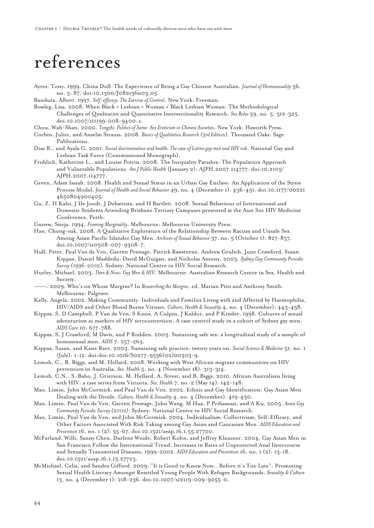# references

- Ayres, Tony. 1999. China Doll-The Experience of Being a Gay Chinese Australian. *Journal of Homosexuality* 36, no. 3: 87. doi:10.1300/J082v36n03\_05.
- Bandura, Albert. 1997. *Self-efficacy: The Exercise of Control*. New York: Freeman.
- Bowleg, Lisa. 2008. When Black + Lesbian + Woman ≠ Black Lesbian Woman: The Methodological Challenges of Qualitative and Quantitative Intersectionality Research. *Sex Roles* 59, no. 5: 312-325. doi:10.1007/s11199-008-9400-z.
- Chou, Wah-Shan. 2000. *Tongzhi: Politics of Same-Sex Eroticism in Chinese Societies*. New York: Haworth Press.
- Corbin, Juliet, and Anselm Strauss. 2008. *Basics of Qualitative Research (3rd Edition)*. Thousand Oaks: Sage Publications.
- Diaz R., and Ayala G. 2001. *Social discrimination and health: The case of Latino gay men and HIV risk*. National Gay and Lesbian Task Force (Commissioned Monograph).
- Frohlich, Katherine L., and Louise Potvin. 2008. The Inequality Paradox: The Population Approach and Vulnerable Populations. *Am J Public Health* (January 2): AJPH.2007.114777. doi:10.2105/ AJPH.2007.114777.
- Green, Adam Isaiah. 2008. Health and Sexual Status in an Urban Gay Enclave: An Application of the Stress Process Model. *Journal of Health and Social Behavior* 49, no. 4 (December 1): 436-451. doi:10.1177/00221 4650804900405.
- Gu, Z, H Kalsi, J De Joodt, J Debattista, and H Bartlett. 2008. Sexual Behaviour of International and Domestic Students Attending Brisbane Tertiary Campuses presented at the Aust Soc HIV Medicine Conference, Perth.
- Gunew, Sneja. 1994. *Framing Marginality*. Melbourne: Melbourne University Press.
- Han, Chong-suk. 2008. A Qualitative Exploration of the Relationship Between Racism and Unsafe Sex Among Asian Pacific Islander Gay Men. *Archives of Sexual Behavior* 37, no. 5 (October 1): 827-837. doi:10.1007/s10508-007-9308-7.
- Hull, Peter, Paul Van de Ven, Garrett Prestage, Patrick Rawstorne, Andrew Grulich, June Crawford, Susan Kippax, Daniel Maddedu, David McGuigan, and Nicholas Antony. 2003. *Sydney Gay Community Periodic Survey (1996-2002)*. Sydney: National Centre in HIV Social Research.
- Hurley, Michael. 2003. *Then & Now: Gay Men & HIV*. Melbourne: Australian Research Centre in Sex, Health and Society.
- ———. 2009. Who's on Whose Margins? In *Researching the Margins*, ed. Marian Pitts and Anthony Smith. Melbourne: Palgrave.
- Kelly, Angela. 2002. Making Community: Individuals and Families Living with and Affected by Haemophilia, HIV/AIDS and Other Blood Borne Viruses. *Culture, Health & Sexuality* 4, no. 4 (December): 443-458.
- Kippax, S, D Campbell, P Van de Ven, S Knox, A Culpin, J Kaldor, and P Kinder. 1998. Cultures of sexual adventurism as markers of HIV seroconversion: A case control study in a cohort of Sydney gay men. *AIDS Care* 10: 677-788.
- Kippax, S, J Crawford, M Davis, and P Rodden. 2003. Sustaining safe sex: a longitudinal study of a sample of homosexual men. *AIDS* 7: 257-263.
- Kippax, Susan, and Kane Race. 2003. Sustaining safe practice: twenty years on. *Social Science & Medicine* 51, no. 1 (July): 1-12. doi:doi:10.1016/S0277-9536(02)00303-9.
- Lemoh, C., B. Biggs, and M. Hellard. 2008. Working with West African migrant communities on HIV prevention in Australia. *Sex. Health* 5, no. 4 (November 18): 313-314.
- Lemoh, C.N., S. Baho, J. Grierson, M. Hellard, A. Street, and B. Biggs. 2010. African Australians living with HIV: a case series from Victoria. *Sex. Health* 7, no. 2 (May 14): 142-148.
- Mao, Limin, John McCormick, and Paul Van de Ven. 2002. Ethnic and Gay Identification: Gay Asian Men Dealing with the Divide. *Culture, Health & Sexuality* 4, no. 4 (December): 419-430.
- Mao, Limin, Paul Van de Ven, Garrett Prestage, John Wang, M Hua, P Prihaswan, and A Ku. 2003. *Asian Gay Community Periodic Survey (2002)*. Sydney: National Centre in HIV Social Research.
- Mao, Limin, Paul Van de Ven, and John McCormick. 2004. Individualism-Collectivism, Self-Efficacy, and Other Factors Associated With Risk Taking among Gay Asian and Caucasian Men. *AIDS Education and Prevention* 16, no. 1 (2): 55-67. doi:10.1521/aeap.16.1.55.27720.
- McFarland, Willi, Sanny Chen, Darlene Weide, Robert Kohn, and Jeffrey Klausner. 2004. Gay Asian Men in San Francisco Follow the International Trend: Increases in Rates of Unprotected Anal Intercourse and Sexually Transmitted Diseases, 1999-2002. *AIDS Education and Prevention* 16, no. 1 (2): 13-18. doi:10.1521/aeap.16.1.13.27723.
- McMichael, Celia, and Sandra Gifford. 2009. "It is Good to Know Now…Before it's Too Late": Promoting Sexual Health Literacy Amongst Resettled Young People With Refugee Backgrounds. *Sexuality & Culture* 13, no. 4 (December 1): 218-236. doi:10.1007/s12119-009-9055-0.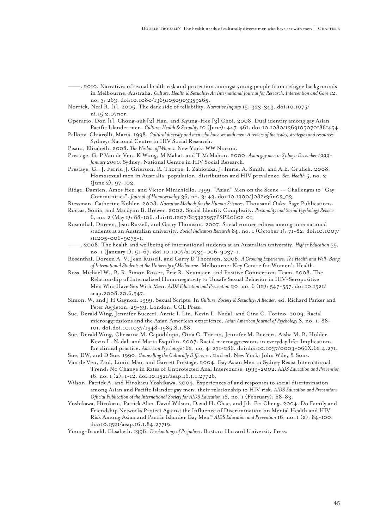- ———. 2010. Narratives of sexual health risk and protection amongst young people from refugee backgrounds in Melbourne, Australia. *Culture, Health & Sexuality: An International Journal for Research, Intervention and Care* 12, no. 3: 263. doi:10.1080/13691050903359265.
- Norrick, Neal R. [1]. 2005. The dark side of tellability. *Narrative Inquiry* 15: 323-343. doi:10.1075/ ni.15.2.07nor.
- Operario, Don [1], Chong-suk [2] Han, and Kyung-Hee [3] Choi. 2008. Dual identity among gay Asian Pacific Islander men. *Culture, Health & Sexuality* 10 (June): 447-461. doi:10.1080/13691050701861454.
- Pallotta-Chiarolli, Maria. 1998. *Cultural diversity and men who have sex with men: A review of the issues, strategies and resources.* Sydney: National Centre in HIV Social Research.
- Pisani, Elizabeth. 2008. *The Wisdom of Whores*. New York: WW Norton.
- Prestage, G, P Van de Ven, K Wong, M Mahat, and T McMahon. 2000. *Asian gay men in Sydney: December 1999- January 2000.* Sydney: National Centre in HIV Social Research.
- Prestage, G., J. Ferris, J. Grierson, R. Thorpe, I. Zablotska, J. Imrie, A. Smith, and A.E. Grulich. 2008. Homosexual men in Australia: population, distribution and HIV prevalence. *Sex. Health* 5, no. 2 (June 2): 97-102.
- Ridge, Damien, Amos Hee, and Victor Minichiello. 1999. "Asian" Men on the Scene -- Challenges to "Gay Communities". *Journal of Homosexuality* 36, no. 3: 43. doi:10.1300/J082v36n03\_03.
- Riessman, Catherine Kohler. 2008. *Narrative Methods for the Human Sciences*. Thousand Oaks: Sage Publications.
- Roccas, Sonia, and Marilynn B. Brewer. 2002. Social Identity Complexity. *Personality and Social Psychology Review* 6, no. 2 (May 1): 88-106. doi:10.1207/S15327957PSPR0602\_01.
- Rosenthal, Doreen, Jean Russell, and Garry Thomson. 2007. Social connectedness among international students at an Australian university. *Social Indicators Research* 84, no. 1 (October 1): 71-82. doi:10.1007/ s11205-006-9075-1.
- ———. 2008. The health and wellbeing of international students at an Australian university. *Higher Education* 55, no. 1 (January 1): 51-67. doi:10.1007/s10734-006-9037-1.
- Rosenthal, Doreen A, V. Jean Russell, and Garry D Thomson. 2006. *A Growing Experience: The Health and Well-Being of International Students at the University of Melbourne*. Melbourne: Key Centre for Women's Health.
- Ross, Michael W., B. R. Simon Rosser, Eric R. Neumaier, and Positive Connections Team. 2008. The Relationship of Internalized Homonegativity to Unsafe Sexual Behavior in HIV-Seropositive Men Who Have Sex With Men. *AIDS Education and Prevention* 20, no. 6 (12): 547-557. doi:10.1521/ aeap.2008.20.6.547.
- Simon, W, and J H Gagnon. 1999. Sexual Scripts. In *Culture, Society & Sexuality: A Reader*, ed. Richard Parker and Peter Aggleton, 29-39. London: UCL Press.
- Sue, Derald Wing, Jennifer Bucceri, Annie I. Lin, Kevin L. Nadal, and Gina C. Torino. 2009. Racial microaggressions and the Asian American experience. *Asian American Journal of Psychology* S, no. 1: 88- 101. doi:doi:10.1037/1948-1985.S.1.88.
- Sue, Derald Wing, Christina M. Capodilupo, Gina C. Torino, Jennifer M. Bucceri, Aisha M. B. Holder, Kevin L. Nadal, and Marta Esquilin. 2007. Racial microaggressions in everyday life: Implications for clinical practice. *American Psychologist* 62, no. 4: 271-286. doi:doi:10.1037/0003-066X.62.4.271.
- Sue, DW, and D Sue. 1990. *Counselling the Culturally Difference*. 2nd ed. New York: John Wiley & Sons.
- Van de Ven, Paul, Limin Mao, and Garrett Prestage. 2004. Gay Asian Men in Sydney Resist International Trend: No Change in Rates of Unprotected Anal Intercourse, 1999-2002. *AIDS Education and Prevention* 16, no. 1 (2): 1-12. doi:10.1521/aeap.16.1.1.27726.
- Wilson, Patrick A, and Hirokazu Yoshikawa. 2004. Experiences of and responses to social discrimination among Asian and Pacific Islander gay men: their relationship to HIV risk. *AIDS Education and Prevention: Official Publication of the International Society for AIDS Education* 16, no. 1 (February): 68-83.
- Yoshikawa, Hirokazu, Patrick Alan-David Wilson, David H. Chae, and Jih-Fei Cheng. 2004. Do Family and Friendship Networks Protect Against the Influence of Discrimination on Mental Health and HIV Risk Among Asian and Pacific Islander Gay Men? *AIDS Education and Prevention* 16, no. 1 (2): 84-100. doi:10.1521/aeap.16.1.84.27719.
- Young-Bruehl, Elisabeth. 1996. *The Anatomy of Prejudices*. Boston: Harvard University Press.